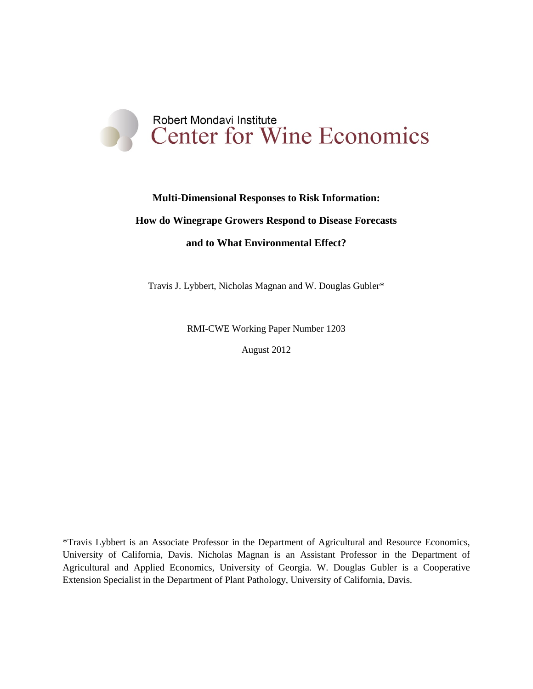

# **Multi-Dimensional Responses to Risk Information:**

## **How do Winegrape Growers Respond to Disease Forecasts**

## **and to What Environmental Effect?**

Travis J. Lybbert, Nicholas Magnan and W. Douglas Gubler\*

RMI-CWE Working Paper Number 1203

August 2012

\*Travis Lybbert is an Associate Professor in the Department of Agricultural and Resource Economics, University of California, Davis. Nicholas Magnan is an Assistant Professor in the Department of Agricultural and Applied Economics, University of Georgia. W. Douglas Gubler is a Cooperative Extension Specialist in the Department of Plant Pathology, University of California, Davis.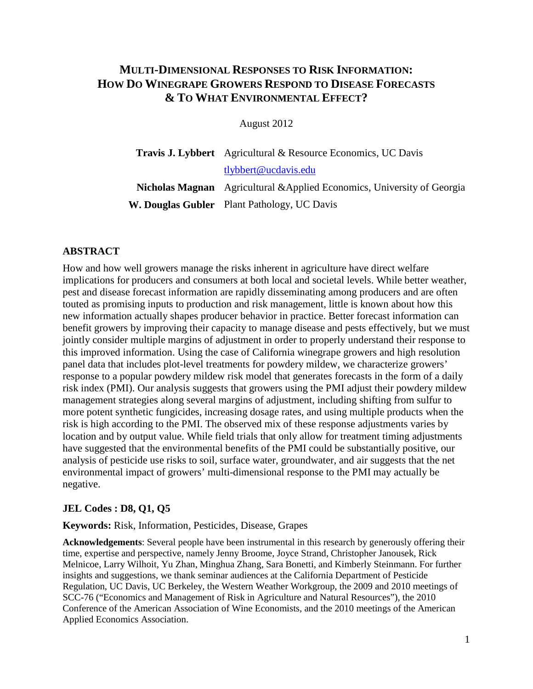# **MULTI-DIMENSIONAL RESPONSES TO RISK INFORMATION: HOW DO WINEGRAPE GROWERS RESPOND TO DISEASE FORECASTS & TO WHAT ENVIRONMENTAL EFFECT?**

August 2012

**Travis J. Lybbert** Agricultural & Resource Economics, UC Davis [tlybbert@ucdavis.edu](mailto:tlybbert@ucdavis.edu) **Nicholas Magnan** Agricultural &Applied Economics, University of Georgia **W. Douglas Gubler** Plant Pathology, UC Davis

# **ABSTRACT**

How and how well growers manage the risks inherent in agriculture have direct welfare implications for producers and consumers at both local and societal levels. While better weather, pest and disease forecast information are rapidly disseminating among producers and are often touted as promising inputs to production and risk management, little is known about how this new information actually shapes producer behavior in practice. Better forecast information can benefit growers by improving their capacity to manage disease and pests effectively, but we must jointly consider multiple margins of adjustment in order to properly understand their response to this improved information. Using the case of California winegrape growers and high resolution panel data that includes plot-level treatments for powdery mildew, we characterize growers' response to a popular powdery mildew risk model that generates forecasts in the form of a daily risk index (PMI). Our analysis suggests that growers using the PMI adjust their powdery mildew management strategies along several margins of adjustment, including shifting from sulfur to more potent synthetic fungicides, increasing dosage rates, and using multiple products when the risk is high according to the PMI. The observed mix of these response adjustments varies by location and by output value. While field trials that only allow for treatment timing adjustments have suggested that the environmental benefits of the PMI could be substantially positive, our analysis of pesticide use risks to soil, surface water, groundwater, and air suggests that the net environmental impact of growers' multi-dimensional response to the PMI may actually be negative.

## **JEL Codes : D8, Q1, Q5**

**Keywords:** Risk, Information, Pesticides, Disease, Grapes

**Acknowledgements**: Several people have been instrumental in this research by generously offering their time, expertise and perspective, namely Jenny Broome, Joyce Strand, Christopher Janousek, Rick Melnicoe, Larry Wilhoit, Yu Zhan, Minghua Zhang, Sara Bonetti, and Kimberly Steinmann. For further insights and suggestions, we thank seminar audiences at the California Department of Pesticide Regulation, UC Davis, UC Berkeley, the Western Weather Workgroup, the 2009 and 2010 meetings of SCC-76 ("Economics and Management of Risk in Agriculture and Natural Resources"), the 2010 Conference of the American Association of Wine Economists, and the 2010 meetings of the American Applied Economics Association.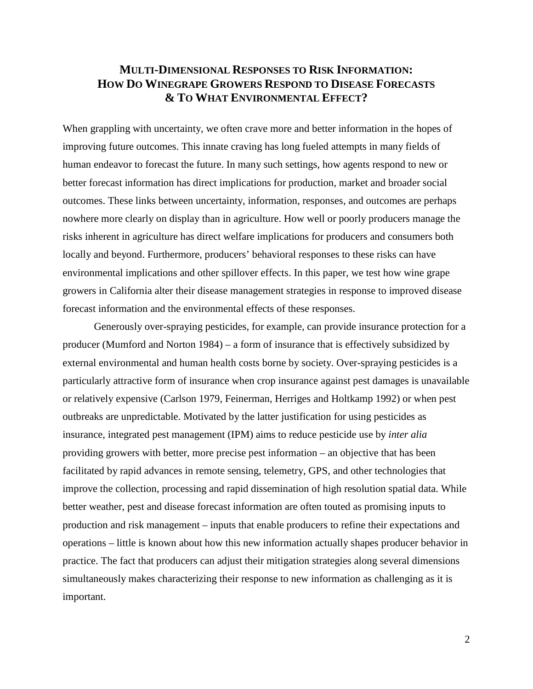# **MULTI-DIMENSIONAL RESPONSES TO RISK INFORMATION: HOW DO WINEGRAPE GROWERS RESPOND TO DISEASE FORECASTS & TO WHAT ENVIRONMENTAL EFFECT?**

When grappling with uncertainty, we often crave more and better information in the hopes of improving future outcomes. This innate craving has long fueled attempts in many fields of human endeavor to forecast the future. In many such settings, how agents respond to new or better forecast information has direct implications for production, market and broader social outcomes. These links between uncertainty, information, responses, and outcomes are perhaps nowhere more clearly on display than in agriculture. How well or poorly producers manage the risks inherent in agriculture has direct welfare implications for producers and consumers both locally and beyond. Furthermore, producers' behavioral responses to these risks can have environmental implications and other spillover effects. In this paper, we test how wine grape growers in California alter their disease management strategies in response to improved disease forecast information and the environmental effects of these responses.

Generously over-spraying pesticides, for example, can provide insurance protection for a producer [\(Mumford and Norton 1984\)](#page-31-0) – a form of insurance that is effectively subsidized by external environmental and human health costs borne by society. Over-spraying pesticides is a particularly attractive form of insurance when crop insurance against pest damages is unavailable or relatively expensive [\(Carlson 1979,](#page-29-0) [Feinerman, Herriges and Holtkamp 1992\)](#page-30-0) or when pest outbreaks are unpredictable. Motivated by the latter justification for using pesticides as insurance, integrated pest management (IPM) aims to reduce pesticide use by *inter alia*  providing growers with better, more precise pest information – an objective that has been facilitated by rapid advances in remote sensing, telemetry, GPS, and other technologies that improve the collection, processing and rapid dissemination of high resolution spatial data. While better weather, pest and disease forecast information are often touted as promising inputs to production and risk management – inputs that enable producers to refine their expectations and operations – little is known about how this new information actually shapes producer behavior in practice. The fact that producers can adjust their mitigation strategies along several dimensions simultaneously makes characterizing their response to new information as challenging as it is important.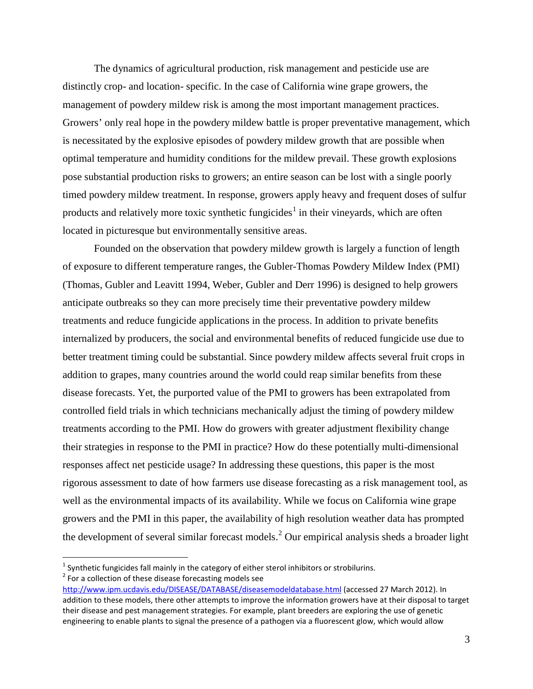The dynamics of agricultural production, risk management and pesticide use are distinctly crop- and location- specific. In the case of California wine grape growers, the management of powdery mildew risk is among the most important management practices. Growers' only real hope in the powdery mildew battle is proper preventative management, which is necessitated by the explosive episodes of powdery mildew growth that are possible when optimal temperature and humidity conditions for the mildew prevail. These growth explosions pose substantial production risks to growers; an entire season can be lost with a single poorly timed powdery mildew treatment. In response, growers apply heavy and frequent doses of sulfur products and relatively more toxic synthetic fungicides<sup>[1](#page-3-0)</sup> in their vineyards, which are often located in picturesque but environmentally sensitive areas.

Founded on the observation that powdery mildew growth is largely a function of length of exposure to different temperature ranges, the Gubler-Thomas Powdery Mildew Index (PMI) [\(Thomas, Gubler and Leavitt 1994,](#page-32-0) [Weber, Gubler and Derr 1996\)](#page-32-1) is designed to help growers anticipate outbreaks so they can more precisely time their preventative powdery mildew treatments and reduce fungicide applications in the process. In addition to private benefits internalized by producers, the social and environmental benefits of reduced fungicide use due to better treatment timing could be substantial. Since powdery mildew affects several fruit crops in addition to grapes, many countries around the world could reap similar benefits from these disease forecasts. Yet, the purported value of the PMI to growers has been extrapolated from controlled field trials in which technicians mechanically adjust the timing of powdery mildew treatments according to the PMI. How do growers with greater adjustment flexibility change their strategies in response to the PMI in practice? How do these potentially multi-dimensional responses affect net pesticide usage? In addressing these questions, this paper is the most rigorous assessment to date of how farmers use disease forecasting as a risk management tool, as well as the environmental impacts of its availability. While we focus on California wine grape growers and the PMI in this paper, the availability of high resolution weather data has prompted the development of several similar forecast models.<sup>[2](#page-3-1)</sup> Our empirical analysis sheds a broader light

<span id="page-3-1"></span><sup>2</sup> For a collection of these disease forecasting models see

<span id="page-3-0"></span> $1$  Synthetic fungicides fall mainly in the category of either sterol inhibitors or strobilurins.

<http://www.ipm.ucdavis.edu/DISEASE/DATABASE/diseasemodeldatabase.html> (accessed 27 March 2012). In addition to these models, there other attempts to improve the information growers have at their disposal to target their disease and pest management strategies. For example, plant breeders are exploring the use of genetic engineering to enable plants to signal the presence of a pathogen via a fluorescent glow, which would allow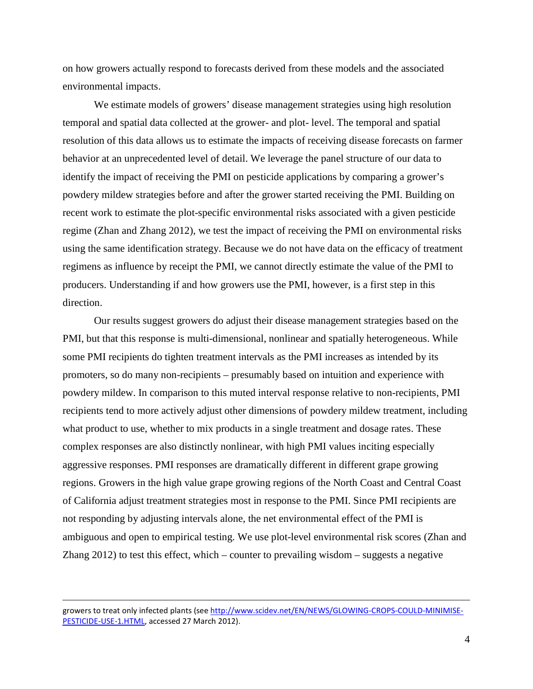on how growers actually respond to forecasts derived from these models and the associated environmental impacts.

We estimate models of growers' disease management strategies using high resolution temporal and spatial data collected at the grower- and plot- level. The temporal and spatial resolution of this data allows us to estimate the impacts of receiving disease forecasts on farmer behavior at an unprecedented level of detail. We leverage the panel structure of our data to identify the impact of receiving the PMI on pesticide applications by comparing a grower's powdery mildew strategies before and after the grower started receiving the PMI. Building on recent work to estimate the plot-specific environmental risks associated with a given pesticide regime [\(Zhan and Zhang 2012\)](#page-32-2), we test the impact of receiving the PMI on environmental risks using the same identification strategy. Because we do not have data on the efficacy of treatment regimens as influence by receipt the PMI, we cannot directly estimate the value of the PMI to producers. Understanding if and how growers use the PMI, however, is a first step in this direction.

Our results suggest growers do adjust their disease management strategies based on the PMI, but that this response is multi-dimensional, nonlinear and spatially heterogeneous. While some PMI recipients do tighten treatment intervals as the PMI increases as intended by its promoters, so do many non-recipients – presumably based on intuition and experience with powdery mildew. In comparison to this muted interval response relative to non-recipients, PMI recipients tend to more actively adjust other dimensions of powdery mildew treatment, including what product to use, whether to mix products in a single treatment and dosage rates. These complex responses are also distinctly nonlinear, with high PMI values inciting especially aggressive responses. PMI responses are dramatically different in different grape growing regions. Growers in the high value grape growing regions of the North Coast and Central Coast of California adjust treatment strategies most in response to the PMI. Since PMI recipients are not responding by adjusting intervals alone, the net environmental effect of the PMI is ambiguous and open to empirical testing. We use plot-level environmental risk scores [\(Zhan and](#page-32-2)  [Zhang 2012\)](#page-32-2) to test this effect, which – counter to prevailing wisdom – suggests a negative

 $\overline{a}$ 

growers to treat only infected plants (see [http://www.scidev.net/EN/NEWS/GLOWING-CROPS-COULD-MINIMISE-](http://www.scidev.net/EN/NEWS/GLOWING-CROPS-COULD-MINIMISE-PESTICIDE-USE-1.HTML)[PESTICIDE-USE-1.HTML,](http://www.scidev.net/EN/NEWS/GLOWING-CROPS-COULD-MINIMISE-PESTICIDE-USE-1.HTML) accessed 27 March 2012).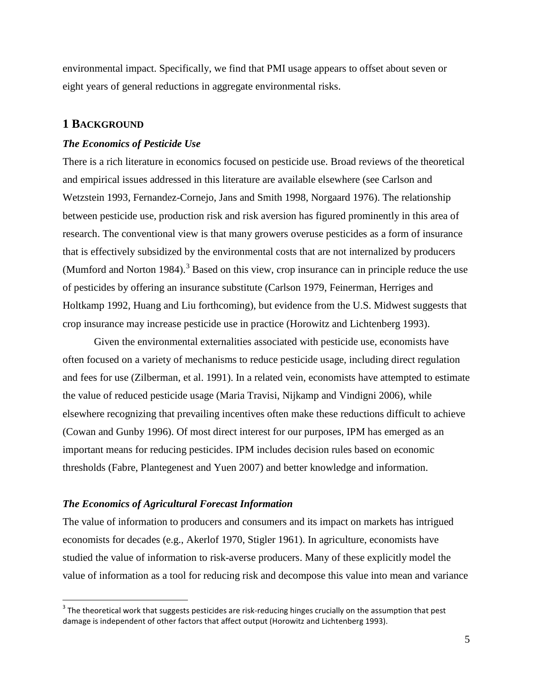environmental impact. Specifically, we find that PMI usage appears to offset about seven or eight years of general reductions in aggregate environmental risks.

## **1 BACKGROUND**

#### *The Economics of Pesticide Use*

There is a rich literature in economics focused on pesticide use. Broad reviews of the theoretical and empirical issues addressed in this literature are available elsewhere (see [Carlson and](#page-29-1)  [Wetzstein 1993,](#page-29-1) [Fernandez-Cornejo, Jans and Smith 1998,](#page-30-1) [Norgaard 1976\)](#page-31-1). The relationship between pesticide use, production risk and risk aversion has figured prominently in this area of research. The conventional view is that many growers overuse pesticides as a form of insurance that is effectively subsidized by the environmental costs that are not internalized by producers [\(Mumford and Norton 1984\)](#page-31-0).<sup>[3](#page-5-0)</sup> Based on this view, crop insurance can in principle reduce the use of pesticides by offering an insurance substitute [\(Carlson 1979,](#page-29-0) [Feinerman, Herriges and](#page-30-0)  [Holtkamp 1992,](#page-30-0) [Huang and Liu forthcoming\)](#page-30-2), but evidence from the U.S. Midwest suggests that crop insurance may increase pesticide use in practice [\(Horowitz and Lichtenberg 1993\)](#page-30-3).

Given the environmental externalities associated with pesticide use, economists have often focused on a variety of mechanisms to reduce pesticide usage, including direct regulation and fees for use [\(Zilberman, et al. 1991\)](#page-32-3). In a related vein, economists have attempted to estimate the value of reduced pesticide usage [\(Maria Travisi, Nijkamp and Vindigni 2006\)](#page-31-2), while elsewhere recognizing that prevailing incentives often make these reductions difficult to achieve [\(Cowan and Gunby 1996\)](#page-29-2). Of most direct interest for our purposes, IPM has emerged as an important means for reducing pesticides. IPM includes decision rules based on economic thresholds [\(Fabre, Plantegenest and Yuen 2007\)](#page-30-4) and better knowledge and information.

### *The Economics of Agricultural Forecast Information*

The value of information to producers and consumers and its impact on markets has intrigued economists for decades (e.g., [Akerlof 1970,](#page-29-3) [Stigler 1961\)](#page-31-3). In agriculture, economists have studied the value of information to risk-averse producers. Many of these explicitly model the value of information as a tool for reducing risk and decompose this value into mean and variance

<span id="page-5-0"></span><sup>&</sup>lt;sup>3</sup> The theoretical work that suggests pesticides are risk-reducing hinges crucially on the assumption that pest damage is independent of other factors that affect output [\(Horowitz and Lichtenberg 1993\)](#page-30-3).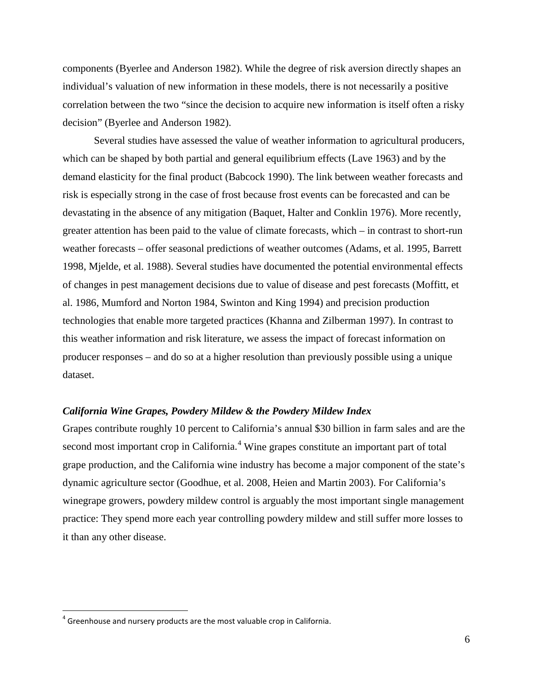components [\(Byerlee and Anderson 1982\)](#page-29-4). While the degree of risk aversion directly shapes an individual's valuation of new information in these models, there is not necessarily a positive correlation between the two "since the decision to acquire new information is itself often a risky decision" [\(Byerlee and Anderson 1982\)](#page-29-4).

Several studies have assessed the value of weather information to agricultural producers, which can be shaped by both partial and general equilibrium effects [\(Lave 1963\)](#page-31-4) and by the demand elasticity for the final product [\(Babcock 1990\)](#page-29-5). The link between weather forecasts and risk is especially strong in the case of frost because frost events can be forecasted and can be devastating in the absence of any mitigation [\(Baquet, Halter and Conklin 1976\)](#page-29-6). More recently, greater attention has been paid to the value of climate forecasts, which – in contrast to short-run weather forecasts – offer seasonal predictions of weather outcomes [\(Adams, et al. 1995,](#page-29-7) [Barrett](#page-29-8)  [1998,](#page-29-8) [Mjelde, et al. 1988\)](#page-31-5). Several studies have documented the potential environmental effects of changes in pest management decisions due to value of disease and pest forecasts [\(Moffitt, et](#page-31-6)  [al. 1986,](#page-31-6) [Mumford and Norton 1984,](#page-31-0) [Swinton and King 1994\)](#page-31-7) and precision production technologies that enable more targeted practices [\(Khanna and Zilberman 1997\)](#page-31-8). In contrast to this weather information and risk literature, we assess the impact of forecast information on producer responses – and do so at a higher resolution than previously possible using a unique dataset.

## *California Wine Grapes, Powdery Mildew & the Powdery Mildew Index*

Grapes contribute roughly 10 percent to California's annual \$30 billion in farm sales and are the second most important crop in California.<sup>[4](#page-6-0)</sup> Wine grapes constitute an important part of total grape production, and the California wine industry has become a major component of the state's dynamic agriculture sector [\(Goodhue, et al. 2008,](#page-30-5) [Heien and Martin 2003\)](#page-30-6). For California's winegrape growers, powdery mildew control is arguably the most important single management practice: They spend more each year controlling powdery mildew and still suffer more losses to it than any other disease.

<span id="page-6-0"></span> $4$  Greenhouse and nursery products are the most valuable crop in California.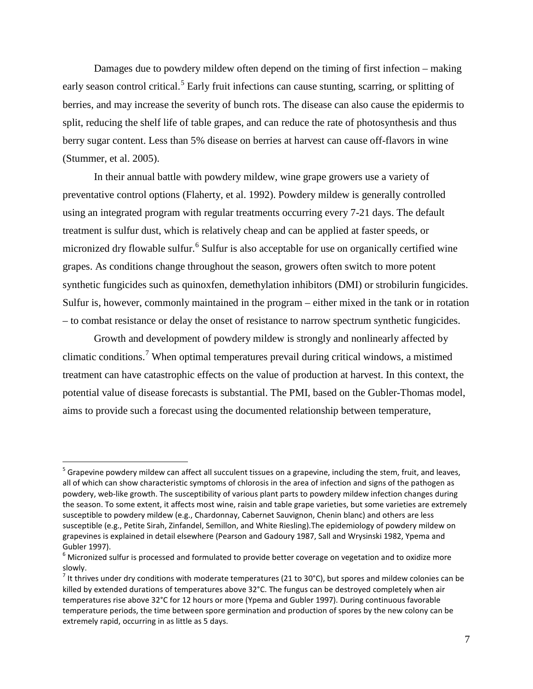Damages due to powdery mildew often depend on the timing of first infection – making early season control critical.<sup>[5](#page-7-0)</sup> Early fruit infections can cause stunting, scarring, or splitting of berries, and may increase the severity of bunch rots. The disease can also cause the epidermis to split, reducing the shelf life of table grapes, and can reduce the rate of photosynthesis and thus berry sugar content. Less than 5% disease on berries at harvest can cause off-flavors in wine [\(Stummer, et al. 2005\)](#page-31-9).

In their annual battle with powdery mildew, wine grape growers use a variety of preventative control options [\(Flaherty, et al. 1992\)](#page-30-7). Powdery mildew is generally controlled using an integrated program with regular treatments occurring every 7-21 days. The default treatment is sulfur dust, which is relatively cheap and can be applied at faster speeds, or micronized dry flowable sulfur.<sup>[6](#page-7-1)</sup> Sulfur is also acceptable for use on organically certified wine grapes. As conditions change throughout the season, growers often switch to more potent synthetic fungicides such as quinoxfen, demethylation inhibitors (DMI) or strobilurin fungicides. Sulfur is, however, commonly maintained in the program – either mixed in the tank or in rotation – to combat resistance or delay the onset of resistance to narrow spectrum synthetic fungicides.

Growth and development of powdery mildew is strongly and nonlinearly affected by climatic conditions.<sup>[7](#page-7-2)</sup> When optimal temperatures prevail during critical windows, a mistimed treatment can have catastrophic effects on the value of production at harvest. In this context, the potential value of disease forecasts is substantial. The PMI, based on the Gubler-Thomas model, aims to provide such a forecast using the documented relationship between temperature,

<span id="page-7-0"></span><sup>&</sup>lt;sup>5</sup> Grapevine powdery mildew can affect all succulent tissues on a grapevine, including the stem, fruit, and leaves, all of which can show characteristic symptoms of chlorosis in the area of infection and signs of the pathogen as powdery, web-like growth. The susceptibility of various plant parts to powdery mildew infection changes during the season. To some extent, it affects most wine, raisin and table grape varieties, but some varieties are extremely susceptible to powdery mildew (e.g., Chardonnay, Cabernet Sauvignon, Chenin blanc) and others are less susceptible (e.g., Petite Sirah, Zinfandel, Semillon, and White Riesling).The epidemiology of powdery mildew on grapevines is explained in detail elsewhere [\(Pearson and Gadoury 1987,](#page-31-10) [Sall and Wrysinski 1982,](#page-31-11) [Ypema and](#page-32-4) 

<span id="page-7-1"></span>[Gubler 1997\)](#page-32-4).<br><sup>6</sup> Micronized sulfur is processed and formulated to provide better coverage on vegetation and to oxidize more slowly.

<span id="page-7-2"></span> $<sup>7</sup>$  It thrives under dry conditions with moderate temperatures (21 to 30°C), but spores and mildew colonies can be</sup> killed by extended durations of temperatures above 32°C. The fungus can be destroyed completely when air temperatures rise above 32°C for 12 hours or more [\(Ypema and Gubler 1997\)](#page-32-4). During continuous favorable temperature periods, the time between spore germination and production of spores by the new colony can be extremely rapid, occurring in as little as 5 days.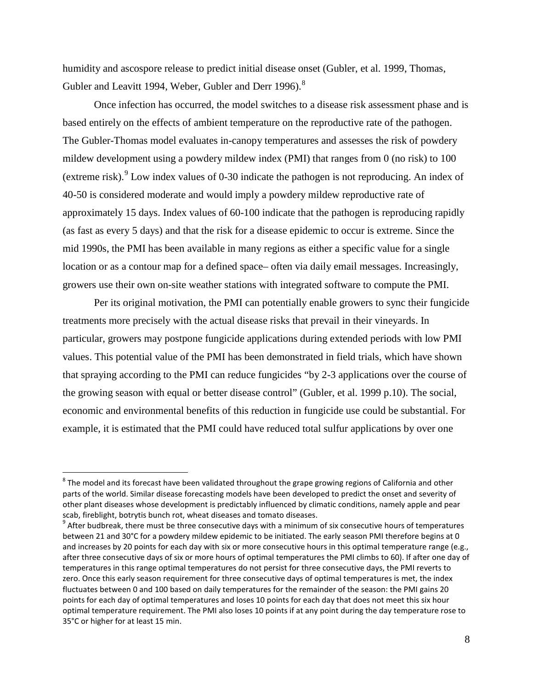humidity and ascospore release to predict initial disease onset [\(Gubler, et al. 1999,](#page-30-8) [Thomas,](#page-32-0)  [Gubler and Leavitt 1994,](#page-32-0) [Weber, Gubler and Derr 1996\)](#page-32-1).<sup>[8](#page-8-0)</sup>

Once infection has occurred, the model switches to a disease risk assessment phase and is based entirely on the effects of ambient temperature on the reproductive rate of the pathogen. The Gubler-Thomas model evaluates in-canopy temperatures and assesses the risk of powdery mildew development using a powdery mildew index (PMI) that ranges from 0 (no risk) to 100 (extreme risk).<sup>[9](#page-8-1)</sup> Low index values of 0-30 indicate the pathogen is not reproducing. An index of 40-50 is considered moderate and would imply a powdery mildew reproductive rate of approximately 15 days. Index values of 60-100 indicate that the pathogen is reproducing rapidly (as fast as every 5 days) and that the risk for a disease epidemic to occur is extreme. Since the mid 1990s, the PMI has been available in many regions as either a specific value for a single location or as a contour map for a defined space– often via daily email messages. Increasingly, growers use their own on-site weather stations with integrated software to compute the PMI.

Per its original motivation, the PMI can potentially enable growers to sync their fungicide treatments more precisely with the actual disease risks that prevail in their vineyards. In particular, growers may postpone fungicide applications during extended periods with low PMI values. This potential value of the PMI has been demonstrated in field trials, which have shown that spraying according to the PMI can reduce fungicides "by 2-3 applications over the course of the growing season with equal or better disease control" [\(Gubler, et al. 1999 p.10\)](#page-30-8). The social, economic and environmental benefits of this reduction in fungicide use could be substantial. For example, it is estimated that the PMI could have reduced total sulfur applications by over one

<span id="page-8-0"></span> $8$  The model and its forecast have been validated throughout the grape growing regions of California and other parts of the world. Similar disease forecasting models have been developed to predict the onset and severity of other plant diseases whose development is predictably influenced by climatic conditions, namely apple and pear scab, fireblight, botrytis bunch rot, wheat diseases and tomato diseases.

<span id="page-8-1"></span> $9$  After budbreak, there must be three consecutive days with a minimum of six consecutive hours of temperatures between 21 and 30°C for a powdery mildew epidemic to be initiated. The early season PMI therefore begins at 0 and increases by 20 points for each day with six or more consecutive hours in this optimal temperature range (e.g., after three consecutive days of six or more hours of optimal temperatures the PMI climbs to 60). If after one day of temperatures in this range optimal temperatures do not persist for three consecutive days, the PMI reverts to zero. Once this early season requirement for three consecutive days of optimal temperatures is met, the index fluctuates between 0 and 100 based on daily temperatures for the remainder of the season: the PMI gains 20 points for each day of optimal temperatures and loses 10 points for each day that does not meet this six hour optimal temperature requirement. The PMI also loses 10 points if at any point during the day temperature rose to 35°C or higher for at least 15 min.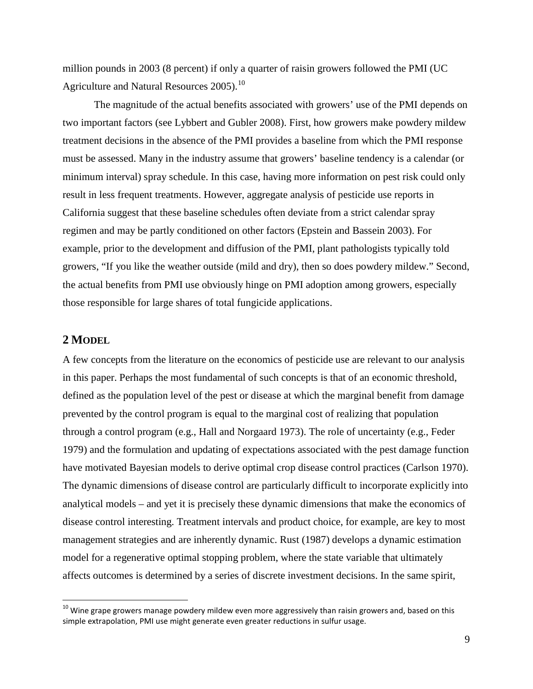million pounds in 2003 (8 percent) if only a quarter of raisin growers followed the PMI [\(UC](#page-32-5)  [Agriculture and Natural Resources 2005\)](#page-32-5).<sup>[10](#page-9-0)</sup>

The magnitude of the actual benefits associated with growers' use of the PMI depends on two important factors [\(see Lybbert and Gubler 2008\)](#page-31-12). First, how growers make powdery mildew treatment decisions in the absence of the PMI provides a baseline from which the PMI response must be assessed. Many in the industry assume that growers' baseline tendency is a calendar (or minimum interval) spray schedule. In this case, having more information on pest risk could only result in less frequent treatments. However, aggregate analysis of pesticide use reports in California suggest that these baseline schedules often deviate from a strict calendar spray regimen and may be partly conditioned on other factors [\(Epstein and Bassein 2003\)](#page-30-9). For example, prior to the development and diffusion of the PMI, plant pathologists typically told growers, "If you like the weather outside (mild and dry), then so does powdery mildew." Second, the actual benefits from PMI use obviously hinge on PMI adoption among growers, especially those responsible for large shares of total fungicide applications.

# **2 MODEL**

A few concepts from the literature on the economics of pesticide use are relevant to our analysis in this paper. Perhaps the most fundamental of such concepts is that of an economic threshold, defined as the population level of the pest or disease at which the marginal benefit from damage prevented by the control program is equal to the marginal cost of realizing that population through a control program [\(e.g., Hall and Norgaard 1973\)](#page-30-10). The role of uncertainty [\(e.g., Feder](#page-30-11)  [1979\)](#page-30-11) and the formulation and updating of expectations associated with the pest damage function have motivated Bayesian models to derive optimal crop disease control practices [\(Carlson 1970\)](#page-29-9). The dynamic dimensions of disease control are particularly difficult to incorporate explicitly into analytical models – and yet it is precisely these dynamic dimensions that make the economics of disease control interesting. Treatment intervals and product choice, for example, are key to most management strategies and are inherently dynamic. Rust (1987) develops a dynamic estimation model for a regenerative optimal stopping problem, where the state variable that ultimately affects outcomes is determined by a series of discrete investment decisions. In the same spirit,

<span id="page-9-0"></span> $10$  Wine grape growers manage powdery mildew even more aggressively than raisin growers and, based on this simple extrapolation, PMI use might generate even greater reductions in sulfur usage.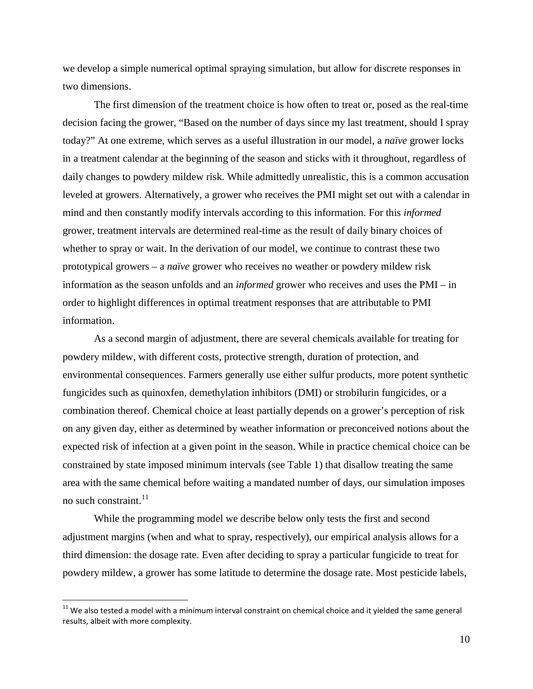we develop a simple numerical optimal spraying simulation, but allow for discrete responses in two dimensions.

The first dimension of the treatment choice is how often to treat or, posed as the real-time decision facing the grower, "Based on the number of days since my last treatment, should I spray today?" At one extreme, which serves as a useful illustration in our model, a *naïve* grower locks in a treatment calendar at the beginning of the season and sticks with it throughout, regardless of daily changes to powdery mildew risk. While admittedly unrealistic, this is a common accusation leveled at growers. Alternatively, a grower who receives the PMI might set out with a calendar in mind and then constantly modify intervals according to this information. For this *informed* grower, treatment intervals are determined real-time as the result of daily binary choices of whether to spray or wait. In the derivation of our model, we continue to contrast these two prototypical growers – a *naïve* grower who receives no weather or powdery mildew risk information as the season unfolds and an *informed* grower who receives and uses the PMI – in order to highlight differences in optimal treatment responses that are attributable to PMI information.

As a second margin of adjustment, there are several chemicals available for treating for powdery mildew, with different costs, protective strength, duration of protection, and environmental consequences. Farmers generally use either sulfur products, more potent synthetic fungicides such as quinoxfen, demethylation inhibitors (DMI) or strobilurin fungicides, or a combination thereof. Chemical choice at least partially depends on a grower's perception of risk on any given day, either as determined by weather information or preconceived notions about the expected risk of infection at a given point in the season. While in practice chemical choice can be constrained by state imposed minimum intervals (see Table 1) that disallow treating the same area with the same chemical before waiting a mandated number of days, our simulation imposes no such constraint.<sup>[11](#page-10-0)</sup>

While the programming model we describe below only tests the first and second adjustment margins (when and what to spray, respectively), our empirical analysis allows for a third dimension: the dosage rate. Even after deciding to spray a particular fungicide to treat for powdery mildew, a grower has some latitude to determine the dosage rate. Most pesticide labels,

<span id="page-10-0"></span> $11$  We also tested a model with a minimum interval constraint on chemical choice and it yielded the same general results, albeit with more complexity.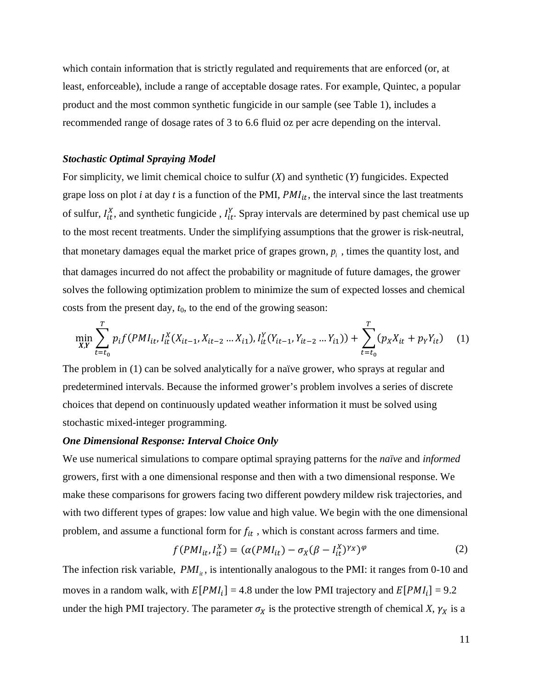which contain information that is strictly regulated and requirements that are enforced (or, at least, enforceable), include a range of acceptable dosage rates. For example, Quintec, a popular product and the most common synthetic fungicide in our sample (see Table 1), includes a recommended range of dosage rates of 3 to 6.6 fluid oz per acre depending on the interval.

### *Stochastic Optimal Spraying Model*

For simplicity, we limit chemical choice to sulfur (*X*) and synthetic (*Y*) fungicides. Expected grape loss on plot *i* at day *t* is a function of the PMI,  $PMI_{it}$ , the interval since the last treatments of sulfur,  $I_{it}^{X}$ , and synthetic fungicide,  $I_{it}^{Y}$ . Spray intervals are determined by past chemical use up to the most recent treatments. Under the simplifying assumptions that the grower is risk-neutral, that monetary damages equal the market price of grapes grown,  $p_i$ , times the quantity lost, and that damages incurred do not affect the probability or magnitude of future damages, the grower solves the following optimization problem to minimize the sum of expected losses and chemical costs from the present day,  $t_0$ , to the end of the growing season:

$$
\min_{X,Y} \sum_{t=t_0}^T p_i f(PMI_{it}, I_{it}^X(X_{it-1}, X_{it-2} \dots X_{i1}), I_{it}^Y(Y_{it-1}, Y_{it-2} \dots Y_{i1})) + \sum_{t=t_0}^T (p_X X_{it} + p_Y Y_{it}) \tag{1}
$$

The problem in (1) can be solved analytically for a naïve grower, who sprays at regular and predetermined intervals. Because the informed grower's problem involves a series of discrete choices that depend on continuously updated weather information it must be solved using stochastic mixed-integer programming.

#### *One Dimensional Response: Interval Choice Only*

We use numerical simulations to compare optimal spraying patterns for the *naïve* and *informed* growers, first with a one dimensional response and then with a two dimensional response. We make these comparisons for growers facing two different powdery mildew risk trajectories, and with two different types of grapes: low value and high value. We begin with the one dimensional problem, and assume a functional form for  $f_{it}$ , which is constant across farmers and time.

$$
f(PMI_{it}, I_{it}^X) = (\alpha(PMI_{it}) - \sigma_X(\beta - I_{it}^X)^{r_X})^{\varphi}
$$
 (2)

The infection risk variable,  $PMI_{it}$ , is intentionally analogous to the PMI: it ranges from 0-10 and moves in a random walk, with  $E[PMI_i] = 4.8$  under the low PMI trajectory and  $E[PMI_i] = 9.2$ under the high PMI trajectory. The parameter  $\sigma_X$  is the protective strength of chemical *X*,  $\gamma_X$  is a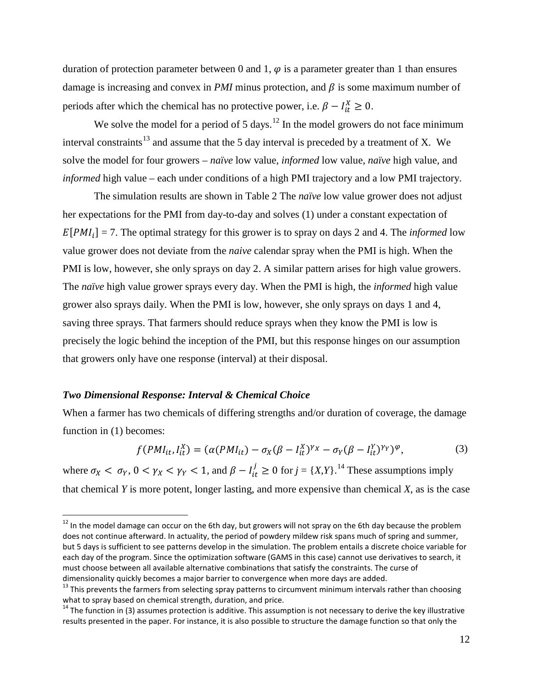duration of protection parameter between 0 and 1,  $\varphi$  is a parameter greater than 1 than ensures damage is increasing and convex in *PMI* minus protection, and  $\beta$  is some maximum number of periods after which the chemical has no protective power, i.e.  $\beta - I_{it}^X \ge 0$ .

We solve the model for a period of  $5 \text{ days}$ .<sup>[12](#page-12-0)</sup> In the model growers do not face minimum interval constraints<sup>[13](#page-12-1)</sup> and assume that the 5 day interval is preceded by a treatment of X. We solve the model for four growers – *naïve* low value, *informed* low value, *naïve* high value, and *informed* high value – each under conditions of a high PMI trajectory and a low PMI trajectory.

The simulation results are shown in Table 2 The *naïve* low value grower does not adjust her expectations for the PMI from day-to-day and solves (1) under a constant expectation of  $E[PMI_i] = 7$ . The optimal strategy for this grower is to spray on days 2 and 4. The *informed* low value grower does not deviate from the *naive* calendar spray when the PMI is high. When the PMI is low, however, she only sprays on day 2. A similar pattern arises for high value growers. The *naïve* high value grower sprays every day. When the PMI is high, the *informed* high value grower also sprays daily. When the PMI is low, however, she only sprays on days 1 and 4, saving three sprays. That farmers should reduce sprays when they know the PMI is low is precisely the logic behind the inception of the PMI, but this response hinges on our assumption that growers only have one response (interval) at their disposal.

#### *Two Dimensional Response: Interval & Chemical Choice*

When a farmer has two chemicals of differing strengths and/or duration of coverage, the damage function in (1) becomes:

$$
f(PMI_{it}, I_{it}^X) = (\alpha(PMI_{it}) - \sigma_X(\beta - I_{it}^X)^{Y_X} - \sigma_Y(\beta - I_{it}^Y)^{Y_Y})^{\varphi},
$$
\n(3)

where  $\sigma_X < \sigma_Y$ ,  $0 < \gamma_X < \gamma_Y < 1$ , and  $\beta - I_{it}^j \ge 0$  for  $j = \{X, Y\}$ .<sup>[14](#page-12-2)</sup> These assumptions imply that chemical *Y* is more potent, longer lasting, and more expensive than chemical *X*, as is the case

<span id="page-12-0"></span><sup>&</sup>lt;sup>12</sup> In the model damage can occur on the 6th day, but growers will not spray on the 6th day because the problem does not continue afterward. In actuality, the period of powdery mildew risk spans much of spring and summer, but 5 days is sufficient to see patterns develop in the simulation. The problem entails a discrete choice variable for each day of the program. Since the optimization software (GAMS in this case) cannot use derivatives to search, it must choose between all available alternative combinations that satisfy the constraints. The curse of dimensionality quickly becomes a major barrier to convergence when more days are added.

<span id="page-12-1"></span><sup>&</sup>lt;sup>13</sup> This prevents the farmers from selecting spray patterns to circumvent minimum intervals rather than choosing what to spray based on chemical strength, duration, and price.

<span id="page-12-2"></span> $14$  The function in (3) assumes protection is additive. This assumption is not necessary to derive the key illustrative results presented in the paper. For instance, it is also possible to structure the damage function so that only the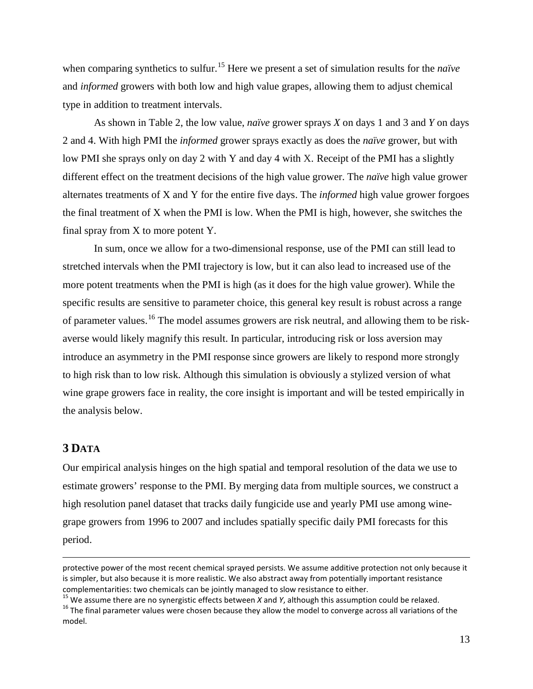when comparing synthetics to sulfur. [15](#page-13-0) Here we present a set of simulation results for the *naïve* and *informed* growers with both low and high value grapes, allowing them to adjust chemical type in addition to treatment intervals.

As shown in Table 2, the low value, *naïve* grower sprays *X* on days 1 and 3 and *Y* on days 2 and 4. With high PMI the *informed* grower sprays exactly as does the *naïve* grower, but with low PMI she sprays only on day 2 with Y and day 4 with X. Receipt of the PMI has a slightly different effect on the treatment decisions of the high value grower. The *naïve* high value grower alternates treatments of X and Y for the entire five days. The *informed* high value grower forgoes the final treatment of X when the PMI is low. When the PMI is high, however, she switches the final spray from X to more potent Y.

In sum, once we allow for a two-dimensional response, use of the PMI can still lead to stretched intervals when the PMI trajectory is low, but it can also lead to increased use of the more potent treatments when the PMI is high (as it does for the high value grower). While the specific results are sensitive to parameter choice, this general key result is robust across a range of parameter values.<sup>[16](#page-13-1)</sup> The model assumes growers are risk neutral, and allowing them to be riskaverse would likely magnify this result. In particular, introducing risk or loss aversion may introduce an asymmetry in the PMI response since growers are likely to respond more strongly to high risk than to low risk. Although this simulation is obviously a stylized version of what wine grape growers face in reality, the core insight is important and will be tested empirically in the analysis below.

# **3 DATA**

 $\overline{a}$ 

Our empirical analysis hinges on the high spatial and temporal resolution of the data we use to estimate growers' response to the PMI. By merging data from multiple sources, we construct a high resolution panel dataset that tracks daily fungicide use and yearly PMI use among winegrape growers from 1996 to 2007 and includes spatially specific daily PMI forecasts for this period.

protective power of the most recent chemical sprayed persists. We assume additive protection not only because it is simpler, but also because it is more realistic. We also abstract away from potentially important resistance complementarities: two chemicals can be jointly managed to slow resistance to either.<br><sup>15</sup> We assume there are no synergistic effects between *X* and *Y*, although this assumption could be relaxed.

<span id="page-13-1"></span><span id="page-13-0"></span><sup>&</sup>lt;sup>16</sup> The final parameter values were chosen because they allow the model to converge across all variations of the model.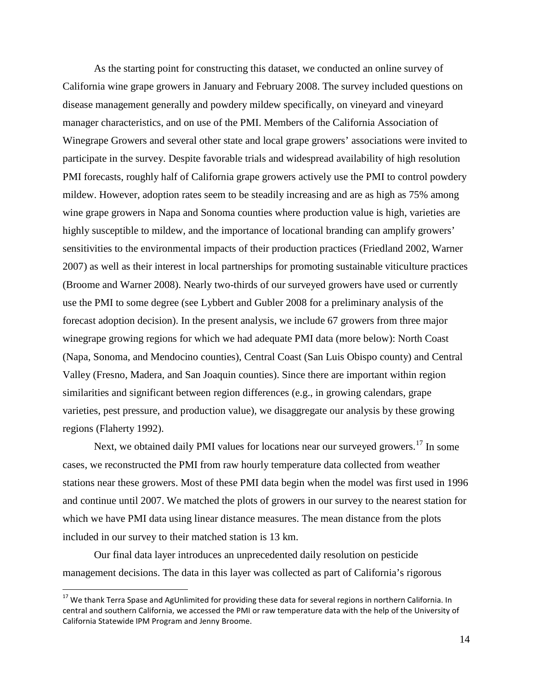As the starting point for constructing this dataset, we conducted an online survey of California wine grape growers in January and February 2008. The survey included questions on disease management generally and powdery mildew specifically, on vineyard and vineyard manager characteristics, and on use of the PMI. Members of the California Association of Winegrape Growers and several other state and local grape growers' associations were invited to participate in the survey. Despite favorable trials and widespread availability of high resolution PMI forecasts, roughly half of California grape growers actively use the PMI to control powdery mildew. However, adoption rates seem to be steadily increasing and are as high as 75% among wine grape growers in Napa and Sonoma counties where production value is high, varieties are highly susceptible to mildew, and the importance of locational branding can amplify growers' sensitivities to the environmental impacts of their production practices [\(Friedland 2002,](#page-30-12) [Warner](#page-32-6)  [2007\)](#page-32-6) as well as their interest in local partnerships for promoting sustainable viticulture practices [\(Broome and Warner 2008\)](#page-29-10). Nearly two-thirds of our surveyed growers have used or currently use the PMI to some degree [\(see Lybbert and Gubler 2008 for a preliminary analysis of the](#page-31-12)  [forecast adoption decision\)](#page-31-12). In the present analysis, we include 67 growers from three major winegrape growing regions for which we had adequate PMI data (more below): North Coast (Napa, Sonoma, and Mendocino counties), Central Coast (San Luis Obispo county) and Central Valley (Fresno, Madera, and San Joaquin counties). Since there are important within region similarities and significant between region differences (e.g., in growing calendars, grape varieties, pest pressure, and production value), we disaggregate our analysis by these growing regions [\(Flaherty 1992\)](#page-30-13).

Next, we obtained daily PMI values for locations near our surveyed growers.<sup>[17](#page-14-0)</sup> In some cases, we reconstructed the PMI from raw hourly temperature data collected from weather stations near these growers. Most of these PMI data begin when the model was first used in 1996 and continue until 2007. We matched the plots of growers in our survey to the nearest station for which we have PMI data using linear distance measures. The mean distance from the plots included in our survey to their matched station is 13 km.

Our final data layer introduces an unprecedented daily resolution on pesticide management decisions. The data in this layer was collected as part of California's rigorous

<span id="page-14-0"></span><sup>&</sup>lt;sup>17</sup> We thank Terra Spase and AgUnlimited for providing these data for several regions in northern California. In central and southern California, we accessed the PMI or raw temperature data with the help of the University of California Statewide IPM Program and Jenny Broome.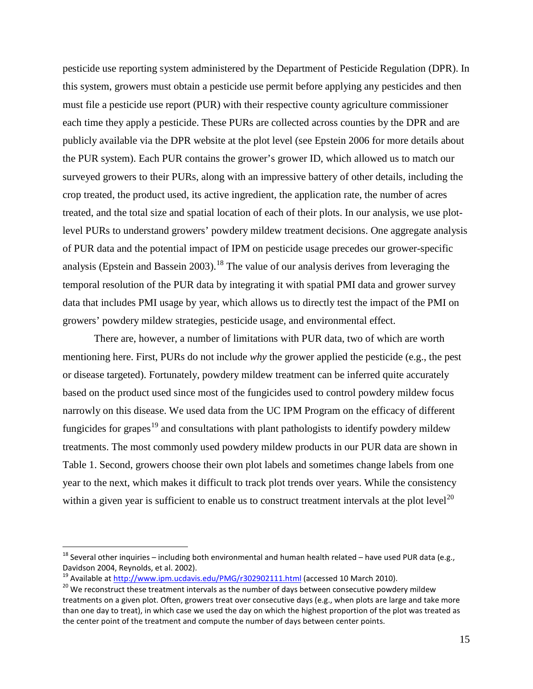pesticide use reporting system administered by the Department of Pesticide Regulation (DPR). In this system, growers must obtain a pesticide use permit before applying any pesticides and then must file a pesticide use report (PUR) with their respective county agriculture commissioner each time they apply a pesticide. These PURs are collected across counties by the DPR and are publicly available via the DPR website at the plot level [\(see Epstein 2006 for more details about](#page-29-11)  [the PUR system\)](#page-29-11). Each PUR contains the grower's grower ID, which allowed us to match our surveyed growers to their PURs, along with an impressive battery of other details, including the crop treated, the product used, its active ingredient, the application rate, the number of acres treated, and the total size and spatial location of each of their plots. In our analysis, we use plotlevel PURs to understand growers' powdery mildew treatment decisions. One aggregate analysis of PUR data and the potential impact of IPM on pesticide usage precedes our grower-specific analysis [\(Epstein and Bassein 2003\)](#page-30-9).<sup>[18](#page-15-0)</sup> The value of our analysis derives from leveraging the temporal resolution of the PUR data by integrating it with spatial PMI data and grower survey data that includes PMI usage by year, which allows us to directly test the impact of the PMI on growers' powdery mildew strategies, pesticide usage, and environmental effect.

There are, however, a number of limitations with PUR data, two of which are worth mentioning here. First, PURs do not include *why* the grower applied the pesticide (e.g., the pest or disease targeted). Fortunately, powdery mildew treatment can be inferred quite accurately based on the product used since most of the fungicides used to control powdery mildew focus narrowly on this disease. We used data from the UC IPM Program on the efficacy of different fungicides for grapes<sup>[19](#page-15-1)</sup> and consultations with plant pathologists to identify powdery mildew treatments. The most commonly used powdery mildew products in our PUR data are shown in Table 1. Second, growers choose their own plot labels and sometimes change labels from one year to the next, which makes it difficult to track plot trends over years. While the consistency within a given year is sufficient to enable us to construct treatment intervals at the plot level<sup>[20](#page-15-2)</sup>

<span id="page-15-0"></span> $^{18}$  Several other inquiries – including both environmental and human health related – have used PUR data (e.g., [Davidson 2004,](#page-29-12) [Reynolds, et al. 2002\)](#page-31-13).<br><sup>19</sup> Available a[t http://www.ipm.ucdavis.edu/PMG/r302902111.html](http://www.ipm.ucdavis.edu/PMG/r302902111.html) (accessed 10 March 2010).<br><sup>20</sup> We reconstruct these treatment intervals as the number of days between consecutive powd

<span id="page-15-1"></span>

<span id="page-15-2"></span>treatments on a given plot. Often, growers treat over consecutive days (e.g., when plots are large and take more than one day to treat), in which case we used the day on which the highest proportion of the plot was treated as the center point of the treatment and compute the number of days between center points.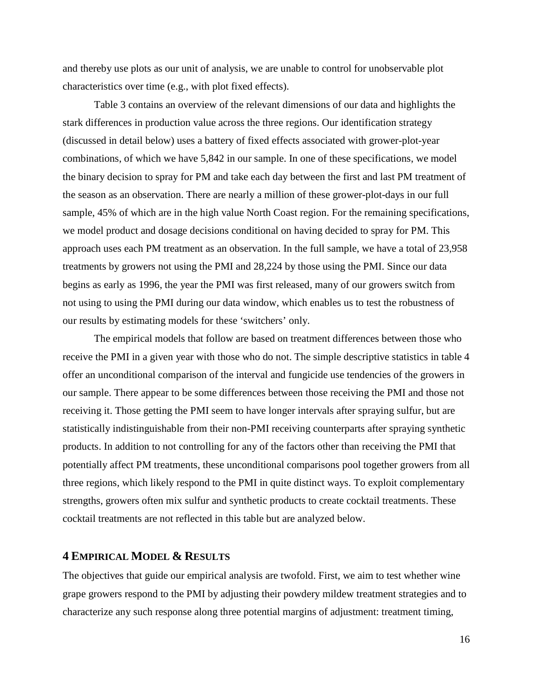and thereby use plots as our unit of analysis, we are unable to control for unobservable plot characteristics over time (e.g., with plot fixed effects).

Table 3 contains an overview of the relevant dimensions of our data and highlights the stark differences in production value across the three regions. Our identification strategy (discussed in detail below) uses a battery of fixed effects associated with grower-plot-year combinations, of which we have 5,842 in our sample. In one of these specifications, we model the binary decision to spray for PM and take each day between the first and last PM treatment of the season as an observation. There are nearly a million of these grower-plot-days in our full sample, 45% of which are in the high value North Coast region. For the remaining specifications, we model product and dosage decisions conditional on having decided to spray for PM. This approach uses each PM treatment as an observation. In the full sample, we have a total of 23,958 treatments by growers not using the PMI and 28,224 by those using the PMI. Since our data begins as early as 1996, the year the PMI was first released, many of our growers switch from not using to using the PMI during our data window, which enables us to test the robustness of our results by estimating models for these 'switchers' only.

The empirical models that follow are based on treatment differences between those who receive the PMI in a given year with those who do not. The simple descriptive statistics in table 4 offer an unconditional comparison of the interval and fungicide use tendencies of the growers in our sample. There appear to be some differences between those receiving the PMI and those not receiving it. Those getting the PMI seem to have longer intervals after spraying sulfur, but are statistically indistinguishable from their non-PMI receiving counterparts after spraying synthetic products. In addition to not controlling for any of the factors other than receiving the PMI that potentially affect PM treatments, these unconditional comparisons pool together growers from all three regions, which likely respond to the PMI in quite distinct ways. To exploit complementary strengths, growers often mix sulfur and synthetic products to create cocktail treatments. These cocktail treatments are not reflected in this table but are analyzed below.

# **4 EMPIRICAL MODEL & RESULTS**

The objectives that guide our empirical analysis are twofold. First, we aim to test whether wine grape growers respond to the PMI by adjusting their powdery mildew treatment strategies and to characterize any such response along three potential margins of adjustment: treatment timing,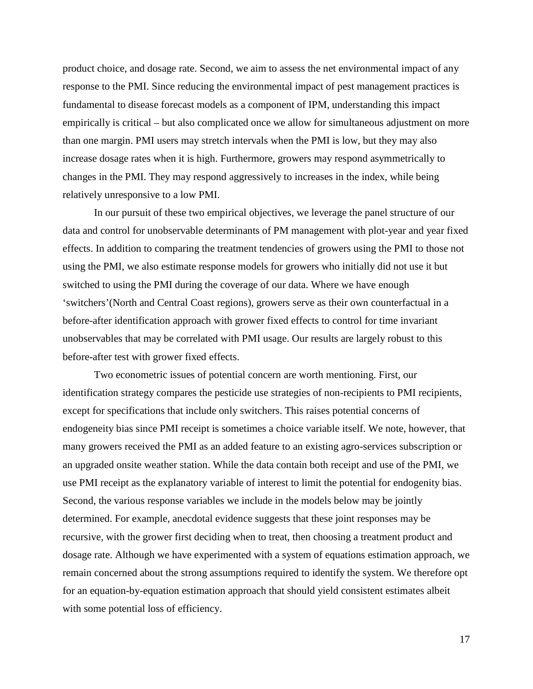product choice, and dosage rate. Second, we aim to assess the net environmental impact of any response to the PMI. Since reducing the environmental impact of pest management practices is fundamental to disease forecast models as a component of IPM, understanding this impact empirically is critical – but also complicated once we allow for simultaneous adjustment on more than one margin. PMI users may stretch intervals when the PMI is low, but they may also increase dosage rates when it is high. Furthermore, growers may respond asymmetrically to changes in the PMI. They may respond aggressively to increases in the index, while being relatively unresponsive to a low PMI.

In our pursuit of these two empirical objectives, we leverage the panel structure of our data and control for unobservable determinants of PM management with plot-year and year fixed effects. In addition to comparing the treatment tendencies of growers using the PMI to those not using the PMI, we also estimate response models for growers who initially did not use it but switched to using the PMI during the coverage of our data. Where we have enough 'switchers'(North and Central Coast regions), growers serve as their own counterfactual in a before-after identification approach with grower fixed effects to control for time invariant unobservables that may be correlated with PMI usage. Our results are largely robust to this before-after test with grower fixed effects.

Two econometric issues of potential concern are worth mentioning. First, our identification strategy compares the pesticide use strategies of non-recipients to PMI recipients, except for specifications that include only switchers. This raises potential concerns of endogeneity bias since PMI receipt is sometimes a choice variable itself. We note, however, that many growers received the PMI as an added feature to an existing agro-services subscription or an upgraded onsite weather station. While the data contain both receipt and use of the PMI, we use PMI receipt as the explanatory variable of interest to limit the potential for endogenity bias. Second, the various response variables we include in the models below may be jointly determined. For example, anecdotal evidence suggests that these joint responses may be recursive, with the grower first deciding when to treat, then choosing a treatment product and dosage rate. Although we have experimented with a system of equations estimation approach, we remain concerned about the strong assumptions required to identify the system. We therefore opt for an equation-by-equation estimation approach that should yield consistent estimates albeit with some potential loss of efficiency.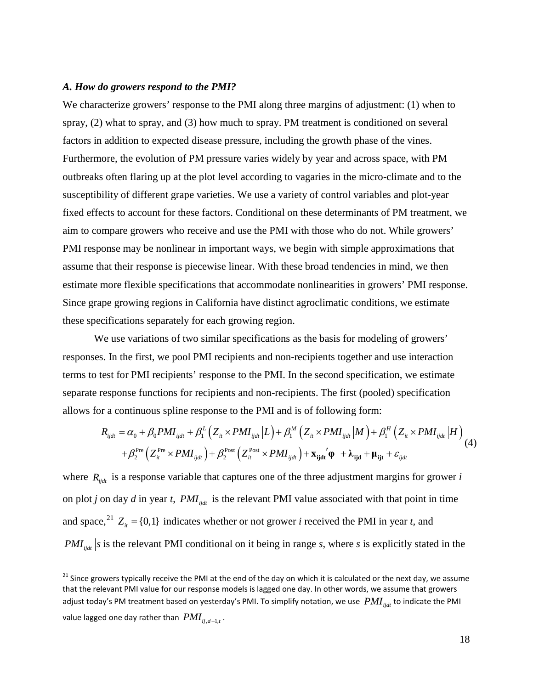#### *A. How do growers respond to the PMI?*

We characterize growers' response to the PMI along three margins of adjustment: (1) when to spray, (2) what to spray, and (3) how much to spray. PM treatment is conditioned on several factors in addition to expected disease pressure, including the growth phase of the vines. Furthermore, the evolution of PM pressure varies widely by year and across space, with PM outbreaks often flaring up at the plot level according to vagaries in the micro-climate and to the susceptibility of different grape varieties. We use a variety of control variables and plot-year fixed effects to account for these factors. Conditional on these determinants of PM treatment, we aim to compare growers who receive and use the PMI with those who do not. While growers' PMI response may be nonlinear in important ways, we begin with simple approximations that assume that their response is piecewise linear. With these broad tendencies in mind, we then estimate more flexible specifications that accommodate nonlinearities in growers' PMI response. Since grape growing regions in California have distinct agroclimatic conditions, we estimate these specifications separately for each growing region.

We use variations of two similar specifications as the basis for modeling of growers' responses. In the first, we pool PMI recipients and non-recipients together and use interaction terms to test for PMI recipients' response to the PMI. In the second specification, we estimate separate response functions for recipients and non-recipients. The first (pooled) specification allows for a continuous spline response to the PMI and is of following form:

$$
R_{ijdt} = \alpha_0 + \beta_0 PMI_{ijdt} + \beta_1^L \left( Z_{it} \times PMI_{ijdt} \middle| L \right) + \beta_1^M \left( Z_{it} \times PMI_{ijdt} \middle| M \right) + \beta_1^H \left( Z_{it} \times PMI_{ijdt} \middle| H \right) + \beta_2^{\text{Pre}} \left( Z_{it}^{\text{Pre}} \times PMI_{ijdt} \right) + \beta_2^{\text{Post}} \left( Z_{it}^{\text{Post}} \times PMI_{ijdt} \right) + \mathbf{x}_{ijkl} \left( \boldsymbol{\Phi} + \boldsymbol{\lambda}_{ijkl} + \boldsymbol{\mu}_{ijt} + \varepsilon_{ijdt} \right)
$$
(4)

where  $R_{\text{i}tdt}$  is a response variable that captures one of the three adjustment margins for grower *i* on plot *j* on day *d* in year *t*,  $PMI_{\text{int}}$  is the relevant PMI value associated with that point in time and space,<sup>[21](#page-18-0)</sup>  $Z_i$  = {0,1} indicates whether or not grower *i* received the PMI in year *t*, and *PMI*<sub>ijdt</sub> s is the relevant PMI conditional on it being in range *s*, where *s* is explicitly stated in the

<span id="page-18-0"></span><sup>&</sup>lt;sup>21</sup> Since growers typically receive the PMI at the end of the day on which it is calculated or the next day, we assume that the relevant PMI value for our response models is lagged one day. In other words, we assume that growers adjust today's PM treatment based on yesterday's PMI. To simplify notation, we use  $PMI_{iidt}$  to indicate the PMI value lagged one day rather than  $PMI_{ii,d-1,t}$ .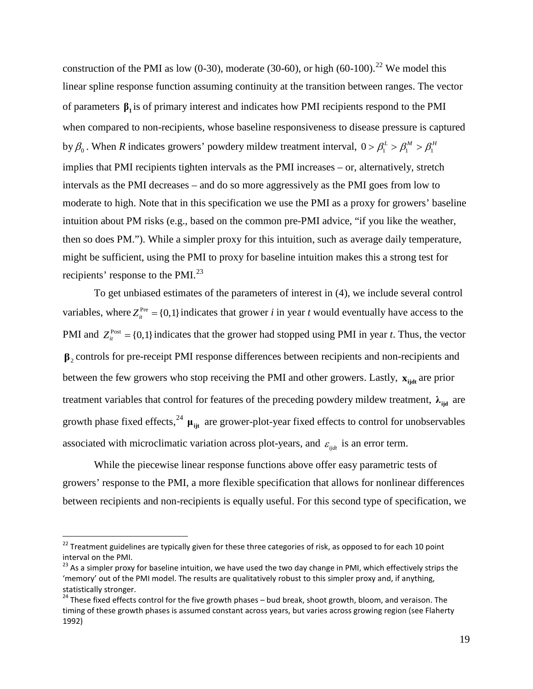construction of the PMI as low  $(0-30)$ , moderate  $(30-60)$ , or high  $(60-100)$ .<sup>[22](#page-19-0)</sup> We model this linear spline response function assuming continuity at the transition between ranges. The vector of parameters **β<sup>1</sup>** is of primary interest and indicates how PMI recipients respond to the PMI when compared to non-recipients, whose baseline responsiveness to disease pressure is captured by  $\beta_0$ . When *R* indicates growers' powdery mildew treatment interval,  $0 > \beta_1^L > \beta_1^M > \beta_1^H$ implies that PMI recipients tighten intervals as the PMI increases – or, alternatively, stretch intervals as the PMI decreases – and do so more aggressively as the PMI goes from low to moderate to high. Note that in this specification we use the PMI as a proxy for growers' baseline intuition about PM risks (e.g., based on the common pre-PMI advice, "if you like the weather, then so does PM."). While a simpler proxy for this intuition, such as average daily temperature, might be sufficient, using the PMI to proxy for baseline intuition makes this a strong test for recipients' response to the PMI.<sup>[23](#page-19-1)</sup>

To get unbiased estimates of the parameters of interest in (4), we include several control variables, where  $Z_i^{\text{Pre}} = \{0,1\}$  indicates that grower *i* in year *t* would eventually have access to the PMI and  $Z_i^{\text{Post}} = \{0,1\}$  indicates that the grower had stopped using PMI in year *t*. Thus, the vector **β**<sup>2</sup> controls for pre-receipt PMI response differences between recipients and non-recipients and between the few growers who stop receiving the PMI and other growers. Lastly,  $\mathbf{x}_{\text{iidt}}$  are prior treatment variables that control for features of the preceding powdery mildew treatment,  $\lambda_{ijd}$  are growth phase fixed effects,<sup>[24](#page-19-2)</sup>  $\mu_{ijt}$  are grower-plot-year fixed effects to control for unobservables associated with microclimatic variation across plot-years, and  $\varepsilon_{ijdt}$  is an error term.

While the piecewise linear response functions above offer easy parametric tests of growers' response to the PMI, a more flexible specification that allows for nonlinear differences between recipients and non-recipients is equally useful. For this second type of specification, we

<span id="page-19-0"></span> $22$  Treatment guidelines are typically given for these three categories of risk, as opposed to for each 10 point interval on the PMI.

<span id="page-19-1"></span><sup>&</sup>lt;sup>23</sup> As a simpler proxy for baseline intuition, we have used the two day change in PMI, which effectively strips the 'memory' out of the PMI model. The results are qualitatively robust to this simpler proxy and, if anything, statistically stronger.

<span id="page-19-2"></span> $24$  These fixed effects control for the five growth phases – bud break, shoot growth, bloom, and veraison. The timing of these growth phases is assumed constant across years, but varies across growing region [\(see Flaherty](#page-30-13)  [1992\)](#page-30-13)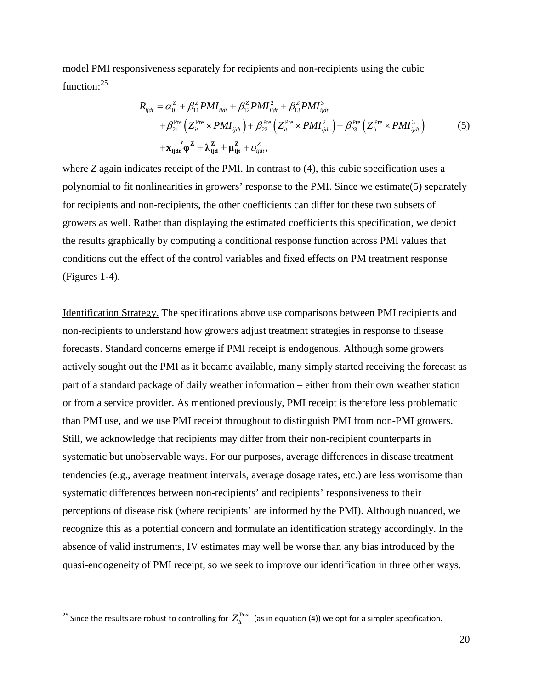model PMI responsiveness separately for recipients and non-recipients using the cubic function:<sup>[25](#page-20-0)</sup>

$$
R_{ijdt} = \alpha_0^Z + \beta_{11}^Z P M I_{ijdt} + \beta_{12}^Z P M I_{ijdt}^2 + \beta_{13}^Z P M I_{ijdt}^3
$$
  
+  $\beta_{21}^{\text{Pre}} \left( Z_{it}^{\text{Pre}} \times P M I_{ijdt} \right) + \beta_{22}^{\text{Pre}} \left( Z_{it}^{\text{Pre}} \times P M I_{ijdt}^2 \right) + \beta_{23}^{\text{Pre}} \left( Z_{it}^{\text{Pre}} \times P M I_{ijdt}^3 \right)$  (5)  
+ $\mathbf{x}_{ijdt}' \mathbf{\varphi}^Z + \lambda_{ijd}^Z + \mathbf{\mu}_{ijt}^Z + \nu_{ijdt}^Z$ ,

where *Z* again indicates receipt of the PMI. In contrast to (4), this cubic specification uses a polynomial to fit nonlinearities in growers' response to the PMI. Since we estimate(5) separately for recipients and non-recipients, the other coefficients can differ for these two subsets of growers as well. Rather than displaying the estimated coefficients this specification, we depict the results graphically by computing a conditional response function across PMI values that conditions out the effect of the control variables and fixed effects on PM treatment response (Figures 1-4).

Identification Strategy. The specifications above use comparisons between PMI recipients and non-recipients to understand how growers adjust treatment strategies in response to disease forecasts. Standard concerns emerge if PMI receipt is endogenous. Although some growers actively sought out the PMI as it became available, many simply started receiving the forecast as part of a standard package of daily weather information – either from their own weather station or from a service provider. As mentioned previously, PMI receipt is therefore less problematic than PMI use, and we use PMI receipt throughout to distinguish PMI from non-PMI growers. Still, we acknowledge that recipients may differ from their non-recipient counterparts in systematic but unobservable ways. For our purposes, average differences in disease treatment tendencies (e.g., average treatment intervals, average dosage rates, etc.) are less worrisome than systematic differences between non-recipients' and recipients' responsiveness to their perceptions of disease risk (where recipients' are informed by the PMI). Although nuanced, we recognize this as a potential concern and formulate an identification strategy accordingly. In the absence of valid instruments, IV estimates may well be worse than any bias introduced by the quasi-endogeneity of PMI receipt, so we seek to improve our identification in three other ways.

 $\overline{a}$ 

<span id="page-20-0"></span><sup>&</sup>lt;sup>25</sup> Since the results are robust to controlling for  $Z_i^{\text{Post}}$  (as in equation (4)) we opt for a simpler specification.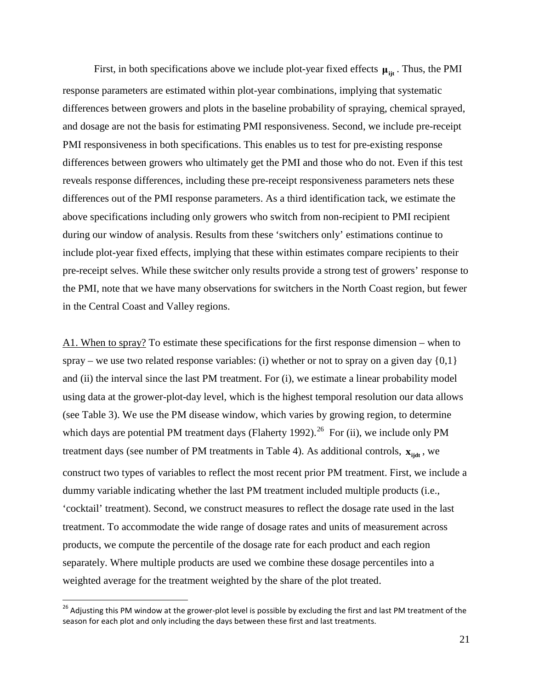First, in both specifications above we include plot-year fixed effects  $\mu_{\text{fit}}$ . Thus, the PMI response parameters are estimated within plot-year combinations, implying that systematic differences between growers and plots in the baseline probability of spraying, chemical sprayed, and dosage are not the basis for estimating PMI responsiveness. Second, we include pre-receipt PMI responsiveness in both specifications. This enables us to test for pre-existing response differences between growers who ultimately get the PMI and those who do not. Even if this test reveals response differences, including these pre-receipt responsiveness parameters nets these differences out of the PMI response parameters. As a third identification tack, we estimate the above specifications including only growers who switch from non-recipient to PMI recipient during our window of analysis. Results from these 'switchers only' estimations continue to include plot-year fixed effects, implying that these within estimates compare recipients to their pre-receipt selves. While these switcher only results provide a strong test of growers' response to the PMI, note that we have many observations for switchers in the North Coast region, but fewer in the Central Coast and Valley regions.

A1. When to spray? To estimate these specifications for the first response dimension – when to spray – we use two related response variables: (i) whether or not to spray on a given day  $\{0,1\}$ and (ii) the interval since the last PM treatment. For (i), we estimate a linear probability model using data at the grower-plot-day level, which is the highest temporal resolution our data allows (see Table 3). We use the PM disease window, which varies by growing region, to determine which days are potential PM treatment days [\(Flaherty 1992\)](#page-30-13).<sup>[26](#page-21-0)</sup> For (ii), we include only PM treatment days (see number of PM treatments in Table 4). As additional controls,  $\mathbf{x}_{\text{tidt}}$ , we construct two types of variables to reflect the most recent prior PM treatment. First, we include a dummy variable indicating whether the last PM treatment included multiple products (i.e., 'cocktail' treatment). Second, we construct measures to reflect the dosage rate used in the last treatment. To accommodate the wide range of dosage rates and units of measurement across products, we compute the percentile of the dosage rate for each product and each region separately. Where multiple products are used we combine these dosage percentiles into a weighted average for the treatment weighted by the share of the plot treated.

<span id="page-21-0"></span><sup>&</sup>lt;sup>26</sup> Adiusting this PM window at the grower-plot level is possible by excluding the first and last PM treatment of the season for each plot and only including the days between these first and last treatments.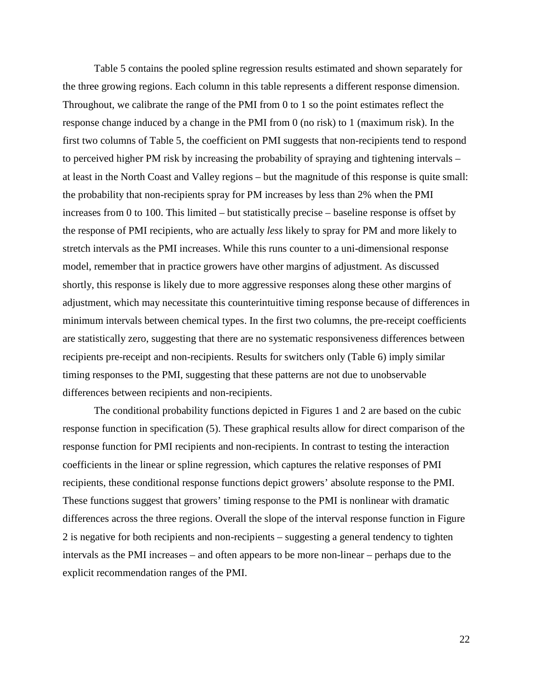Table 5 contains the pooled spline regression results estimated and shown separately for the three growing regions. Each column in this table represents a different response dimension. Throughout, we calibrate the range of the PMI from 0 to 1 so the point estimates reflect the response change induced by a change in the PMI from 0 (no risk) to 1 (maximum risk). In the first two columns of Table 5, the coefficient on PMI suggests that non-recipients tend to respond to perceived higher PM risk by increasing the probability of spraying and tightening intervals – at least in the North Coast and Valley regions – but the magnitude of this response is quite small: the probability that non-recipients spray for PM increases by less than 2% when the PMI increases from 0 to 100. This limited – but statistically precise – baseline response is offset by the response of PMI recipients, who are actually *less* likely to spray for PM and more likely to stretch intervals as the PMI increases. While this runs counter to a uni-dimensional response model, remember that in practice growers have other margins of adjustment. As discussed shortly, this response is likely due to more aggressive responses along these other margins of adjustment, which may necessitate this counterintuitive timing response because of differences in minimum intervals between chemical types. In the first two columns, the pre-receipt coefficients are statistically zero, suggesting that there are no systematic responsiveness differences between recipients pre-receipt and non-recipients. Results for switchers only (Table 6) imply similar timing responses to the PMI, suggesting that these patterns are not due to unobservable differences between recipients and non-recipients.

The conditional probability functions depicted in Figures 1 and 2 are based on the cubic response function in specification (5). These graphical results allow for direct comparison of the response function for PMI recipients and non-recipients. In contrast to testing the interaction coefficients in the linear or spline regression, which captures the relative responses of PMI recipients, these conditional response functions depict growers' absolute response to the PMI. These functions suggest that growers' timing response to the PMI is nonlinear with dramatic differences across the three regions. Overall the slope of the interval response function in Figure 2 is negative for both recipients and non-recipients – suggesting a general tendency to tighten intervals as the PMI increases – and often appears to be more non-linear – perhaps due to the explicit recommendation ranges of the PMI.

22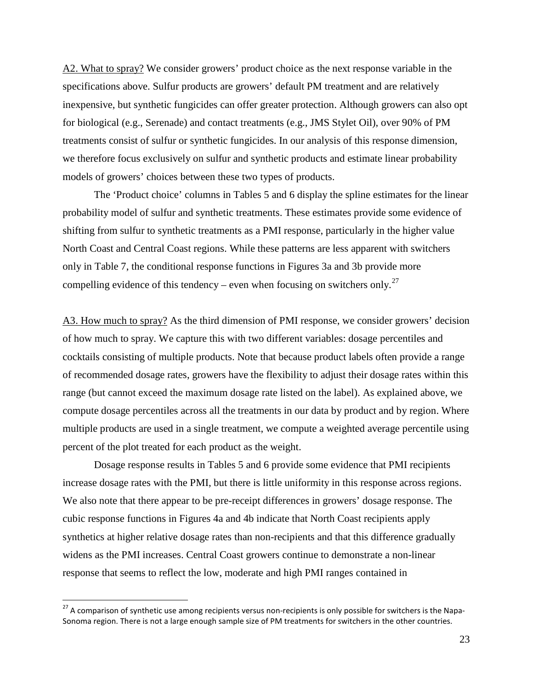A2. What to spray? We consider growers' product choice as the next response variable in the specifications above. Sulfur products are growers' default PM treatment and are relatively inexpensive, but synthetic fungicides can offer greater protection. Although growers can also opt for biological (e.g., Serenade) and contact treatments (e.g., JMS Stylet Oil), over 90% of PM treatments consist of sulfur or synthetic fungicides. In our analysis of this response dimension, we therefore focus exclusively on sulfur and synthetic products and estimate linear probability models of growers' choices between these two types of products.

The 'Product choice' columns in Tables 5 and 6 display the spline estimates for the linear probability model of sulfur and synthetic treatments. These estimates provide some evidence of shifting from sulfur to synthetic treatments as a PMI response, particularly in the higher value North Coast and Central Coast regions. While these patterns are less apparent with switchers only in Table 7, the conditional response functions in Figures 3a and 3b provide more compelling evidence of this tendency – even when focusing on switchers only.<sup>[27](#page-23-0)</sup>

A3. How much to spray? As the third dimension of PMI response, we consider growers' decision of how much to spray. We capture this with two different variables: dosage percentiles and cocktails consisting of multiple products. Note that because product labels often provide a range of recommended dosage rates, growers have the flexibility to adjust their dosage rates within this range (but cannot exceed the maximum dosage rate listed on the label). As explained above, we compute dosage percentiles across all the treatments in our data by product and by region. Where multiple products are used in a single treatment, we compute a weighted average percentile using percent of the plot treated for each product as the weight.

Dosage response results in Tables 5 and 6 provide some evidence that PMI recipients increase dosage rates with the PMI, but there is little uniformity in this response across regions. We also note that there appear to be pre-receipt differences in growers' dosage response. The cubic response functions in Figures 4a and 4b indicate that North Coast recipients apply synthetics at higher relative dosage rates than non-recipients and that this difference gradually widens as the PMI increases. Central Coast growers continue to demonstrate a non-linear response that seems to reflect the low, moderate and high PMI ranges contained in

<span id="page-23-0"></span><sup>&</sup>lt;sup>27</sup> A comparison of synthetic use among recipients versus non-recipients is only possible for switchers is the Napa-Sonoma region. There is not a large enough sample size of PM treatments for switchers in the other countries.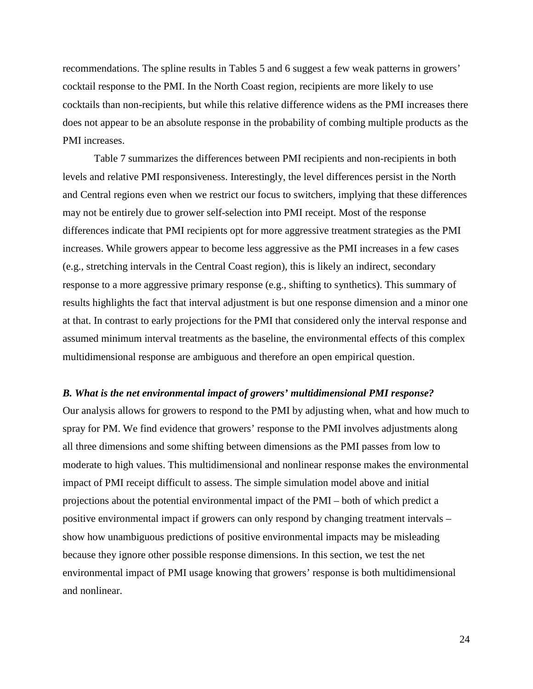recommendations. The spline results in Tables 5 and 6 suggest a few weak patterns in growers' cocktail response to the PMI. In the North Coast region, recipients are more likely to use cocktails than non-recipients, but while this relative difference widens as the PMI increases there does not appear to be an absolute response in the probability of combing multiple products as the PMI increases.

Table 7 summarizes the differences between PMI recipients and non-recipients in both levels and relative PMI responsiveness. Interestingly, the level differences persist in the North and Central regions even when we restrict our focus to switchers, implying that these differences may not be entirely due to grower self-selection into PMI receipt. Most of the response differences indicate that PMI recipients opt for more aggressive treatment strategies as the PMI increases. While growers appear to become less aggressive as the PMI increases in a few cases (e.g., stretching intervals in the Central Coast region), this is likely an indirect, secondary response to a more aggressive primary response (e.g., shifting to synthetics). This summary of results highlights the fact that interval adjustment is but one response dimension and a minor one at that. In contrast to early projections for the PMI that considered only the interval response and assumed minimum interval treatments as the baseline, the environmental effects of this complex multidimensional response are ambiguous and therefore an open empirical question.

## *B. What is the net environmental impact of growers' multidimensional PMI response?*

Our analysis allows for growers to respond to the PMI by adjusting when, what and how much to spray for PM. We find evidence that growers' response to the PMI involves adjustments along all three dimensions and some shifting between dimensions as the PMI passes from low to moderate to high values. This multidimensional and nonlinear response makes the environmental impact of PMI receipt difficult to assess. The simple simulation model above and initial projections about the potential environmental impact of the PMI – both of which predict a positive environmental impact if growers can only respond by changing treatment intervals – show how unambiguous predictions of positive environmental impacts may be misleading because they ignore other possible response dimensions. In this section, we test the net environmental impact of PMI usage knowing that growers' response is both multidimensional and nonlinear.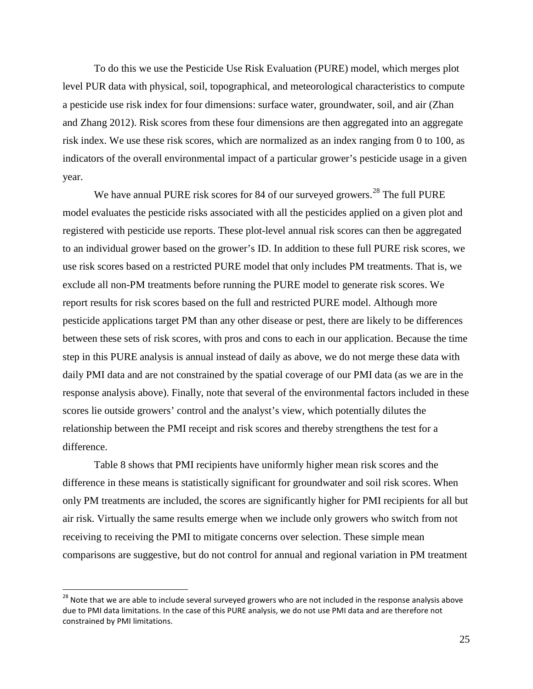To do this we use the Pesticide Use Risk Evaluation (PURE) model, which merges plot level PUR data with physical, soil, topographical, and meteorological characteristics to compute a pesticide use risk index for four dimensions: surface water, groundwater, soil, and air [\(Zhan](#page-32-2)  [and Zhang 2012\)](#page-32-2). Risk scores from these four dimensions are then aggregated into an aggregate risk index. We use these risk scores, which are normalized as an index ranging from 0 to 100, as indicators of the overall environmental impact of a particular grower's pesticide usage in a given year.

We have annual PURE risk scores for 84 of our surveyed growers.<sup>[28](#page-25-0)</sup> The full PURE model evaluates the pesticide risks associated with all the pesticides applied on a given plot and registered with pesticide use reports. These plot-level annual risk scores can then be aggregated to an individual grower based on the grower's ID. In addition to these full PURE risk scores, we use risk scores based on a restricted PURE model that only includes PM treatments. That is, we exclude all non-PM treatments before running the PURE model to generate risk scores. We report results for risk scores based on the full and restricted PURE model. Although more pesticide applications target PM than any other disease or pest, there are likely to be differences between these sets of risk scores, with pros and cons to each in our application. Because the time step in this PURE analysis is annual instead of daily as above, we do not merge these data with daily PMI data and are not constrained by the spatial coverage of our PMI data (as we are in the response analysis above). Finally, note that several of the environmental factors included in these scores lie outside growers' control and the analyst's view, which potentially dilutes the relationship between the PMI receipt and risk scores and thereby strengthens the test for a difference.

Table 8 shows that PMI recipients have uniformly higher mean risk scores and the difference in these means is statistically significant for groundwater and soil risk scores. When only PM treatments are included, the scores are significantly higher for PMI recipients for all but air risk. Virtually the same results emerge when we include only growers who switch from not receiving to receiving the PMI to mitigate concerns over selection. These simple mean comparisons are suggestive, but do not control for annual and regional variation in PM treatment

<span id="page-25-0"></span> $28$  Note that we are able to include several surveyed growers who are not included in the response analysis above due to PMI data limitations. In the case of this PURE analysis, we do not use PMI data and are therefore not constrained by PMI limitations.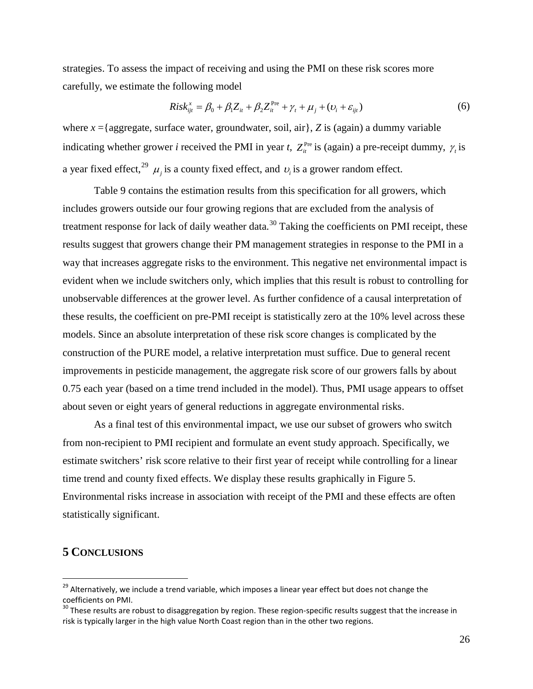strategies. To assess the impact of receiving and using the PMI on these risk scores more carefully, we estimate the following model

$$
Risk_{ijt}^{x} = \beta_0 + \beta_1 Z_{it} + \beta_2 Z_{it}^{\text{Pre}} + \gamma_t + \mu_j + (\nu_i + \varepsilon_{ijt})
$$
(6)

where  $x =$ {aggregate, surface water, groundwater, soil, air}, *Z* is (again) a dummy variable indicating whether grower *i* received the PMI in year *t*,  $Z_i^{\text{Pre}}$  is (again) a pre-receipt dummy,  $\gamma_i$  is a year fixed effect,<sup>[29](#page-26-0)</sup>  $\mu_j$  is a county fixed effect, and  $\nu_i$  is a grower random effect.

Table 9 contains the estimation results from this specification for all growers, which includes growers outside our four growing regions that are excluded from the analysis of treatment response for lack of daily weather data.<sup>[30](#page-26-1)</sup> Taking the coefficients on PMI receipt, these results suggest that growers change their PM management strategies in response to the PMI in a way that increases aggregate risks to the environment. This negative net environmental impact is evident when we include switchers only, which implies that this result is robust to controlling for unobservable differences at the grower level. As further confidence of a causal interpretation of these results, the coefficient on pre-PMI receipt is statistically zero at the 10% level across these models. Since an absolute interpretation of these risk score changes is complicated by the construction of the PURE model, a relative interpretation must suffice. Due to general recent improvements in pesticide management, the aggregate risk score of our growers falls by about 0.75 each year (based on a time trend included in the model). Thus, PMI usage appears to offset about seven or eight years of general reductions in aggregate environmental risks.

As a final test of this environmental impact, we use our subset of growers who switch from non-recipient to PMI recipient and formulate an event study approach. Specifically, we estimate switchers' risk score relative to their first year of receipt while controlling for a linear time trend and county fixed effects. We display these results graphically in Figure 5. Environmental risks increase in association with receipt of the PMI and these effects are often statistically significant.

## **5 CONCLUSIONS**

<span id="page-26-0"></span> $29$  Alternatively, we include a trend variable, which imposes a linear year effect but does not change the coefficients on PMI.

<span id="page-26-1"></span> $30$  These results are robust to disaggregation by region. These region-specific results suggest that the increase in risk is typically larger in the high value North Coast region than in the other two regions.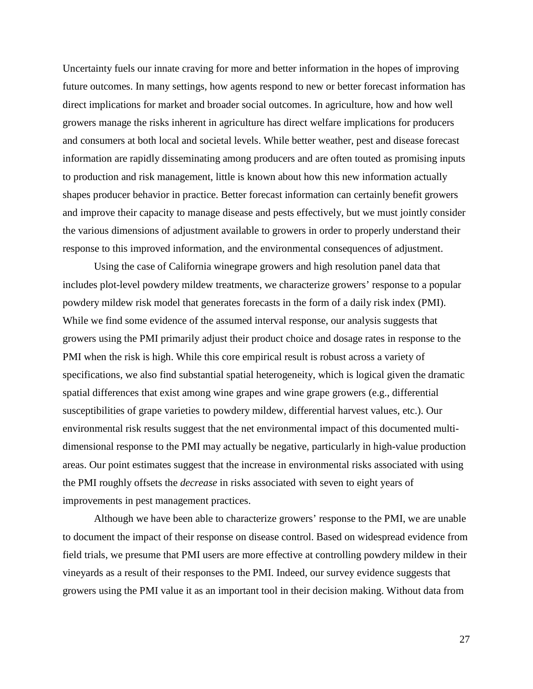Uncertainty fuels our innate craving for more and better information in the hopes of improving future outcomes. In many settings, how agents respond to new or better forecast information has direct implications for market and broader social outcomes. In agriculture, how and how well growers manage the risks inherent in agriculture has direct welfare implications for producers and consumers at both local and societal levels. While better weather, pest and disease forecast information are rapidly disseminating among producers and are often touted as promising inputs to production and risk management, little is known about how this new information actually shapes producer behavior in practice. Better forecast information can certainly benefit growers and improve their capacity to manage disease and pests effectively, but we must jointly consider the various dimensions of adjustment available to growers in order to properly understand their response to this improved information, and the environmental consequences of adjustment.

Using the case of California winegrape growers and high resolution panel data that includes plot-level powdery mildew treatments, we characterize growers' response to a popular powdery mildew risk model that generates forecasts in the form of a daily risk index (PMI). While we find some evidence of the assumed interval response, our analysis suggests that growers using the PMI primarily adjust their product choice and dosage rates in response to the PMI when the risk is high. While this core empirical result is robust across a variety of specifications, we also find substantial spatial heterogeneity, which is logical given the dramatic spatial differences that exist among wine grapes and wine grape growers (e.g., differential susceptibilities of grape varieties to powdery mildew, differential harvest values, etc.). Our environmental risk results suggest that the net environmental impact of this documented multidimensional response to the PMI may actually be negative, particularly in high-value production areas. Our point estimates suggest that the increase in environmental risks associated with using the PMI roughly offsets the *decrease* in risks associated with seven to eight years of improvements in pest management practices.

Although we have been able to characterize growers' response to the PMI, we are unable to document the impact of their response on disease control. Based on widespread evidence from field trials, we presume that PMI users are more effective at controlling powdery mildew in their vineyards as a result of their responses to the PMI. Indeed, our survey evidence suggests that growers using the PMI value it as an important tool in their decision making. Without data from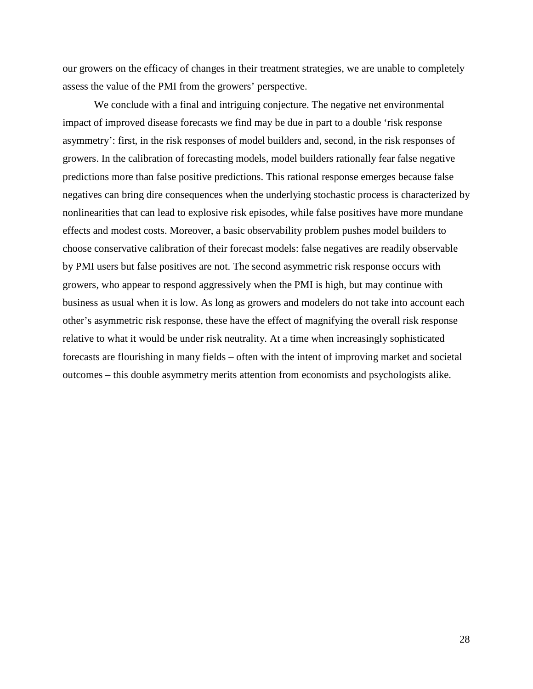our growers on the efficacy of changes in their treatment strategies, we are unable to completely assess the value of the PMI from the growers' perspective.

We conclude with a final and intriguing conjecture. The negative net environmental impact of improved disease forecasts we find may be due in part to a double 'risk response asymmetry': first, in the risk responses of model builders and, second, in the risk responses of growers. In the calibration of forecasting models, model builders rationally fear false negative predictions more than false positive predictions. This rational response emerges because false negatives can bring dire consequences when the underlying stochastic process is characterized by nonlinearities that can lead to explosive risk episodes, while false positives have more mundane effects and modest costs. Moreover, a basic observability problem pushes model builders to choose conservative calibration of their forecast models: false negatives are readily observable by PMI users but false positives are not. The second asymmetric risk response occurs with growers, who appear to respond aggressively when the PMI is high, but may continue with business as usual when it is low. As long as growers and modelers do not take into account each other's asymmetric risk response, these have the effect of magnifying the overall risk response relative to what it would be under risk neutrality. At a time when increasingly sophisticated forecasts are flourishing in many fields – often with the intent of improving market and societal outcomes – this double asymmetry merits attention from economists and psychologists alike.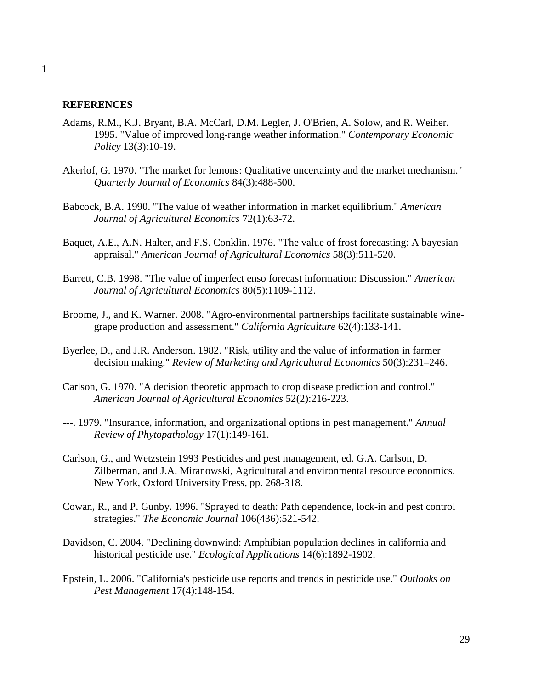#### **REFERENCES**

- <span id="page-29-7"></span>Adams, R.M., K.J. Bryant, B.A. McCarl, D.M. Legler, J. O'Brien, A. Solow, and R. Weiher. 1995. "Value of improved long-range weather information." *Contemporary Economic Policy* 13(3):10-19.
- <span id="page-29-3"></span>Akerlof, G. 1970. "The market for lemons: Qualitative uncertainty and the market mechanism." *Quarterly Journal of Economics* 84(3):488-500.
- <span id="page-29-5"></span>Babcock, B.A. 1990. "The value of weather information in market equilibrium." *American Journal of Agricultural Economics* 72(1):63-72.
- <span id="page-29-6"></span>Baquet, A.E., A.N. Halter, and F.S. Conklin. 1976. "The value of frost forecasting: A bayesian appraisal." *American Journal of Agricultural Economics* 58(3):511-520.
- <span id="page-29-8"></span>Barrett, C.B. 1998. "The value of imperfect enso forecast information: Discussion." *American Journal of Agricultural Economics* 80(5):1109-1112.
- <span id="page-29-10"></span>Broome, J., and K. Warner. 2008. "Agro-environmental partnerships facilitate sustainable winegrape production and assessment." *California Agriculture* 62(4):133-141.
- <span id="page-29-4"></span>Byerlee, D., and J.R. Anderson. 1982. "Risk, utility and the value of information in farmer decision making." *Review of Marketing and Agricultural Economics* 50(3):231–246.
- <span id="page-29-9"></span>Carlson, G. 1970. "A decision theoretic approach to crop disease prediction and control." *American Journal of Agricultural Economics* 52(2):216-223.
- <span id="page-29-0"></span>---. 1979. "Insurance, information, and organizational options in pest management." *Annual Review of Phytopathology* 17(1):149-161.
- <span id="page-29-1"></span>Carlson, G., and Wetzstein 1993 Pesticides and pest management, ed. G.A. Carlson, D. Zilberman, and J.A. Miranowski, Agricultural and environmental resource economics. New York, Oxford University Press, pp. 268-318.
- <span id="page-29-2"></span>Cowan, R., and P. Gunby. 1996. "Sprayed to death: Path dependence, lock-in and pest control strategies." *The Economic Journal* 106(436):521-542.
- <span id="page-29-12"></span>Davidson, C. 2004. "Declining downwind: Amphibian population declines in california and historical pesticide use." *Ecological Applications* 14(6):1892-1902.
- <span id="page-29-11"></span>Epstein, L. 2006. "California's pesticide use reports and trends in pesticide use." *Outlooks on Pest Management* 17(4):148-154.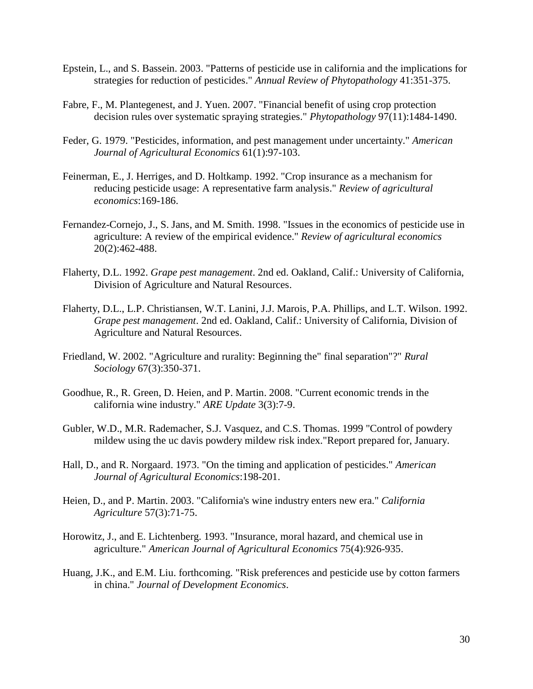- <span id="page-30-9"></span>Epstein, L., and S. Bassein. 2003. "Patterns of pesticide use in california and the implications for strategies for reduction of pesticides." *Annual Review of Phytopathology* 41:351-375.
- <span id="page-30-4"></span>Fabre, F., M. Plantegenest, and J. Yuen. 2007. "Financial benefit of using crop protection decision rules over systematic spraying strategies." *Phytopathology* 97(11):1484-1490.
- <span id="page-30-11"></span>Feder, G. 1979. "Pesticides, information, and pest management under uncertainty." *American Journal of Agricultural Economics* 61(1):97-103.
- <span id="page-30-0"></span>Feinerman, E., J. Herriges, and D. Holtkamp. 1992. "Crop insurance as a mechanism for reducing pesticide usage: A representative farm analysis." *Review of agricultural economics*:169-186.
- <span id="page-30-1"></span>Fernandez-Cornejo, J., S. Jans, and M. Smith. 1998. "Issues in the economics of pesticide use in agriculture: A review of the empirical evidence." *Review of agricultural economics* 20(2):462-488.
- <span id="page-30-13"></span>Flaherty, D.L. 1992. *Grape pest management*. 2nd ed. Oakland, Calif.: University of California, Division of Agriculture and Natural Resources.
- <span id="page-30-7"></span>Flaherty, D.L., L.P. Christiansen, W.T. Lanini, J.J. Marois, P.A. Phillips, and L.T. Wilson. 1992. *Grape pest management*. 2nd ed. Oakland, Calif.: University of California, Division of Agriculture and Natural Resources.
- <span id="page-30-12"></span>Friedland, W. 2002. "Agriculture and rurality: Beginning the" final separation"?" *Rural Sociology* 67(3):350-371.
- <span id="page-30-5"></span>Goodhue, R., R. Green, D. Heien, and P. Martin. 2008. "Current economic trends in the california wine industry." *ARE Update* 3(3):7-9.
- <span id="page-30-8"></span>Gubler, W.D., M.R. Rademacher, S.J. Vasquez, and C.S. Thomas. 1999 "Control of powdery mildew using the uc davis powdery mildew risk index."Report prepared for, January.
- <span id="page-30-10"></span>Hall, D., and R. Norgaard. 1973. "On the timing and application of pesticides." *American Journal of Agricultural Economics*:198-201.
- <span id="page-30-6"></span>Heien, D., and P. Martin. 2003. "California's wine industry enters new era." *California Agriculture* 57(3):71-75.
- <span id="page-30-3"></span>Horowitz, J., and E. Lichtenberg. 1993. "Insurance, moral hazard, and chemical use in agriculture." *American Journal of Agricultural Economics* 75(4):926-935.
- <span id="page-30-2"></span>Huang, J.K., and E.M. Liu. forthcoming. "Risk preferences and pesticide use by cotton farmers in china." *Journal of Development Economics*.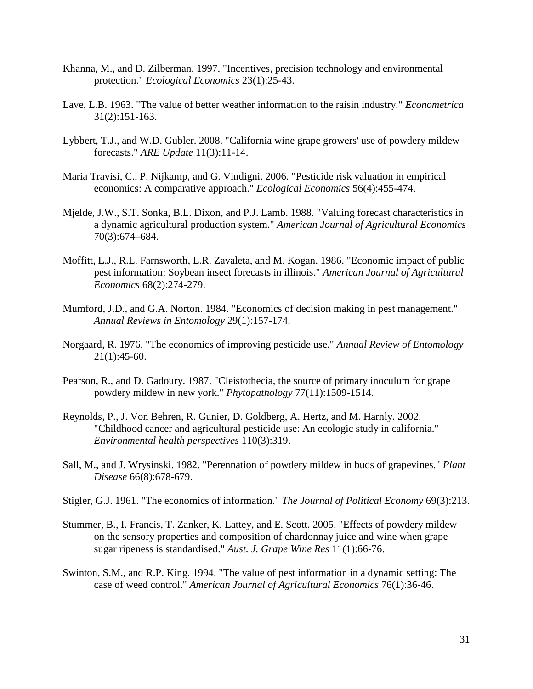- <span id="page-31-8"></span>Khanna, M., and D. Zilberman. 1997. "Incentives, precision technology and environmental protection." *Ecological Economics* 23(1):25-43.
- <span id="page-31-4"></span>Lave, L.B. 1963. "The value of better weather information to the raisin industry." *Econometrica* 31(2):151-163.
- <span id="page-31-12"></span>Lybbert, T.J., and W.D. Gubler. 2008. "California wine grape growers' use of powdery mildew forecasts." *ARE Update* 11(3):11-14.
- <span id="page-31-2"></span>Maria Travisi, C., P. Nijkamp, and G. Vindigni. 2006. "Pesticide risk valuation in empirical economics: A comparative approach." *Ecological Economics* 56(4):455-474.
- <span id="page-31-5"></span>Mjelde, J.W., S.T. Sonka, B.L. Dixon, and P.J. Lamb. 1988. "Valuing forecast characteristics in a dynamic agricultural production system." *American Journal of Agricultural Economics* 70(3):674–684.
- <span id="page-31-6"></span>Moffitt, L.J., R.L. Farnsworth, L.R. Zavaleta, and M. Kogan. 1986. "Economic impact of public pest information: Soybean insect forecasts in illinois." *American Journal of Agricultural Economics* 68(2):274-279.
- <span id="page-31-0"></span>Mumford, J.D., and G.A. Norton. 1984. "Economics of decision making in pest management." *Annual Reviews in Entomology* 29(1):157-174.
- <span id="page-31-1"></span>Norgaard, R. 1976. "The economics of improving pesticide use." *Annual Review of Entomology*  $21(1):45-60.$
- <span id="page-31-10"></span>Pearson, R., and D. Gadoury. 1987. "Cleistothecia, the source of primary inoculum for grape powdery mildew in new york." *Phytopathology* 77(11):1509-1514.
- <span id="page-31-13"></span>Reynolds, P., J. Von Behren, R. Gunier, D. Goldberg, A. Hertz, and M. Harnly. 2002. "Childhood cancer and agricultural pesticide use: An ecologic study in california." *Environmental health perspectives* 110(3):319.
- <span id="page-31-11"></span>Sall, M., and J. Wrysinski. 1982. "Perennation of powdery mildew in buds of grapevines." *Plant Disease* 66(8):678-679.
- <span id="page-31-3"></span>Stigler, G.J. 1961. "The economics of information." *The Journal of Political Economy* 69(3):213.
- <span id="page-31-9"></span>Stummer, B., I. Francis, T. Zanker, K. Lattey, and E. Scott. 2005. "Effects of powdery mildew on the sensory properties and composition of chardonnay juice and wine when grape sugar ripeness is standardised." *Aust. J. Grape Wine Res* 11(1):66-76.
- <span id="page-31-7"></span>Swinton, S.M., and R.P. King. 1994. "The value of pest information in a dynamic setting: The case of weed control." *American Journal of Agricultural Economics* 76(1):36-46.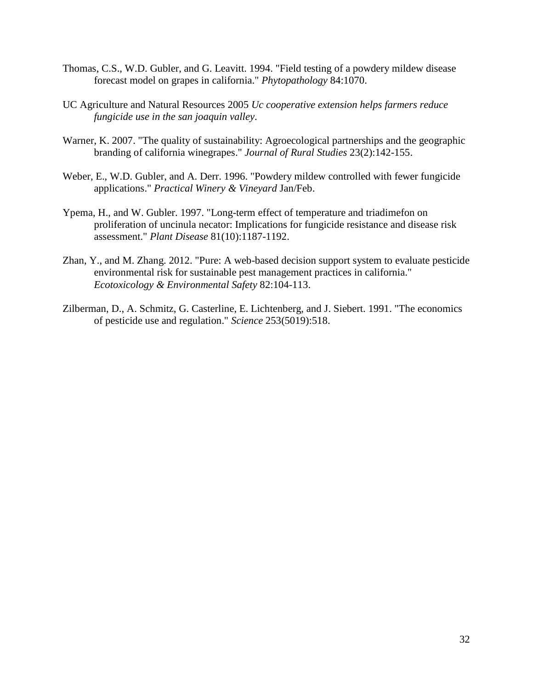- <span id="page-32-0"></span>Thomas, C.S., W.D. Gubler, and G. Leavitt. 1994. "Field testing of a powdery mildew disease forecast model on grapes in california." *Phytopathology* 84:1070.
- <span id="page-32-5"></span>UC Agriculture and Natural Resources 2005 *Uc cooperative extension helps farmers reduce fungicide use in the san joaquin valley*.
- <span id="page-32-6"></span>Warner, K. 2007. "The quality of sustainability: Agroecological partnerships and the geographic branding of california winegrapes." *Journal of Rural Studies* 23(2):142-155.
- <span id="page-32-1"></span>Weber, E., W.D. Gubler, and A. Derr. 1996. "Powdery mildew controlled with fewer fungicide applications." *Practical Winery & Vineyard* Jan/Feb.
- <span id="page-32-4"></span>Ypema, H., and W. Gubler. 1997. "Long-term effect of temperature and triadimefon on proliferation of uncinula necator: Implications for fungicide resistance and disease risk assessment." *Plant Disease* 81(10):1187-1192.
- <span id="page-32-2"></span>Zhan, Y., and M. Zhang. 2012. "Pure: A web-based decision support system to evaluate pesticide environmental risk for sustainable pest management practices in california." *Ecotoxicology & Environmental Safety* 82:104-113.
- <span id="page-32-3"></span>Zilberman, D., A. Schmitz, G. Casterline, E. Lichtenberg, and J. Siebert. 1991. "The economics of pesticide use and regulation." *Science* 253(5019):518.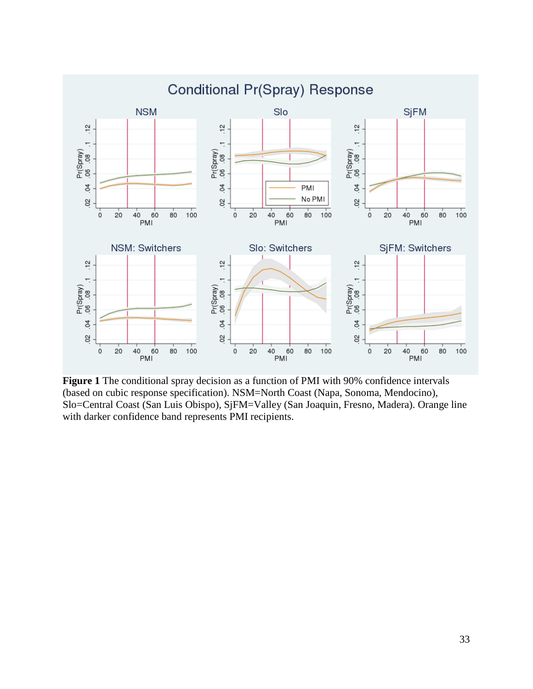

**Figure 1** The conditional spray decision as a function of PMI with 90% confidence intervals (based on cubic response specification). NSM=North Coast (Napa, Sonoma, Mendocino), Slo=Central Coast (San Luis Obispo), SjFM=Valley (San Joaquin, Fresno, Madera). Orange line with darker confidence band represents PMI recipients.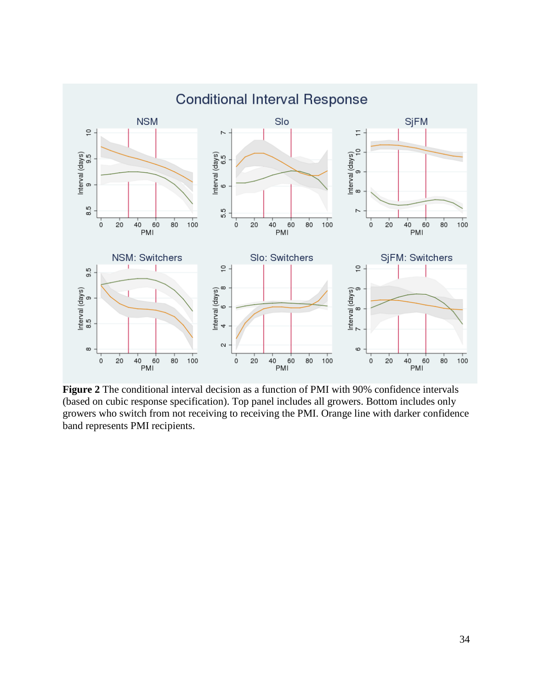

**Figure 2** The conditional interval decision as a function of PMI with 90% confidence intervals (based on cubic response specification). Top panel includes all growers. Bottom includes only growers who switch from not receiving to receiving the PMI. Orange line with darker confidence band represents PMI recipients.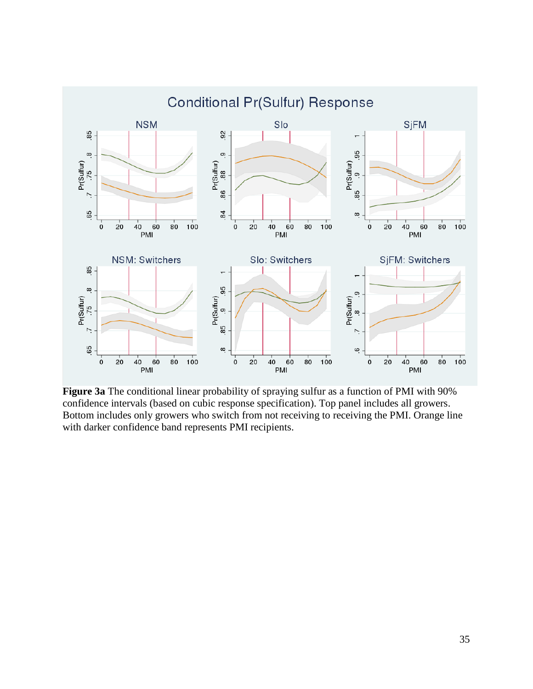

**Figure 3a** The conditional linear probability of spraying sulfur as a function of PMI with 90% confidence intervals (based on cubic response specification). Top panel includes all growers. Bottom includes only growers who switch from not receiving to receiving the PMI. Orange line with darker confidence band represents PMI recipients.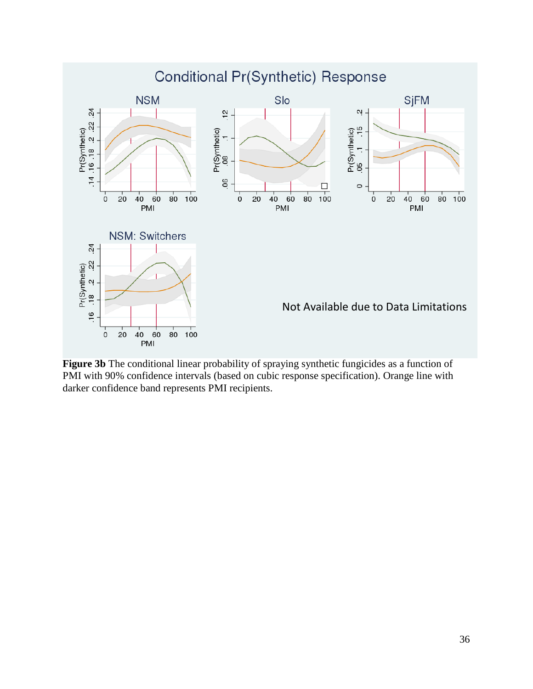

**Figure 3b** The conditional linear probability of spraying synthetic fungicides as a function of PMI with 90% confidence intervals (based on cubic response specification). Orange line with darker confidence band represents PMI recipients.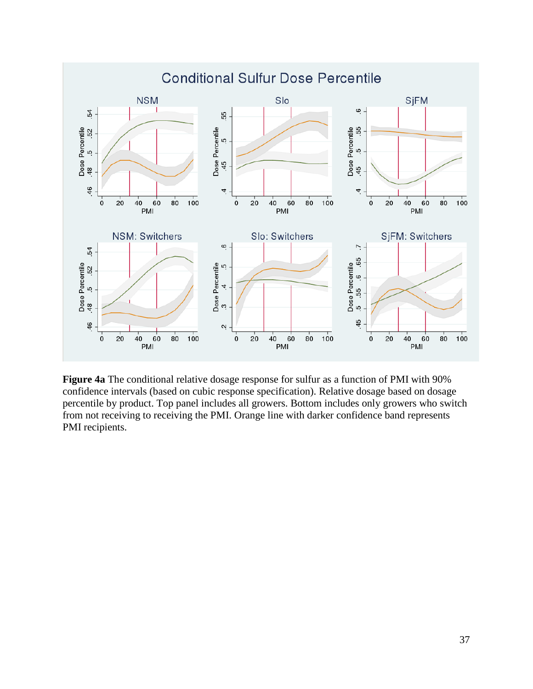

**Figure 4a** The conditional relative dosage response for sulfur as a function of PMI with 90% confidence intervals (based on cubic response specification). Relative dosage based on dosage percentile by product. Top panel includes all growers. Bottom includes only growers who switch from not receiving to receiving the PMI. Orange line with darker confidence band represents PMI recipients.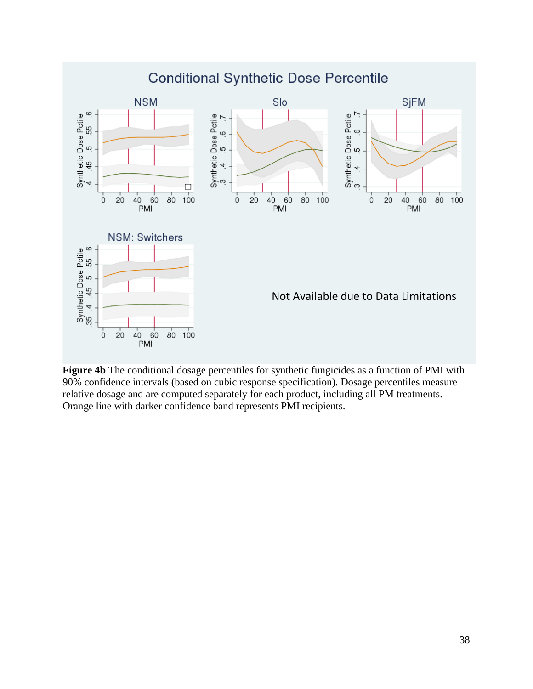

**Figure 4b** The conditional dosage percentiles for synthetic fungicides as a function of PMI with 90% confidence intervals (based on cubic response specification). Dosage percentiles measure relative dosage and are computed separately for each product, including all PM treatments. Orange line with darker confidence band represents PMI recipients.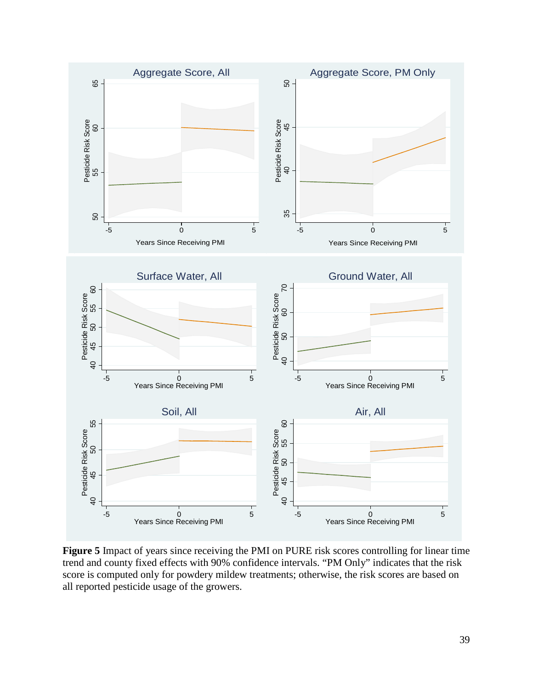

**Figure 5** Impact of years since receiving the PMI on PURE risk scores controlling for linear time trend and county fixed effects with 90% confidence intervals. "PM Only" indicates that the risk score is computed only for powdery mildew treatments; otherwise, the risk scores are based on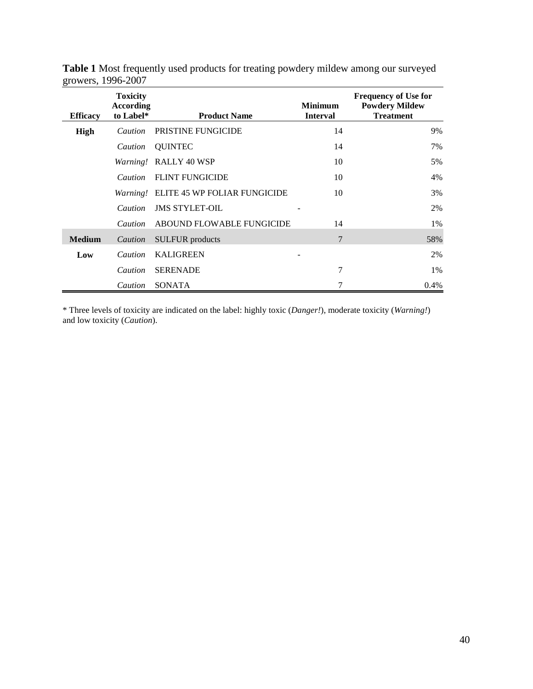| <b>Efficacy</b> | <b>Toxicity</b><br>According<br>to Label* | <b>Product Name</b>                          | <b>Minimum</b><br><b>Interval</b> | <b>Frequency of Use for</b><br><b>Powdery Mildew</b><br><b>Treatment</b> |
|-----------------|-------------------------------------------|----------------------------------------------|-----------------------------------|--------------------------------------------------------------------------|
| High            | <i>Caution</i>                            | <b>PRISTINE FUNGICIDE</b>                    | 14                                | 9%                                                                       |
|                 | Caution                                   | <b>OUINTEC</b>                               | 14                                | 7%                                                                       |
|                 |                                           | Warning! RALLY 40 WSP                        | 10                                | 5%                                                                       |
|                 | <i>Caution</i>                            | <b>FLINT FUNGICIDE</b>                       | 10                                | 4%                                                                       |
|                 |                                           | <i>Warning!</i> ELITE 45 WP FOLIAR FUNGICIDE | 10                                | 3%                                                                       |
|                 | <i>Caution</i>                            | <b>JMS STYLET-OIL</b>                        |                                   | 2%                                                                       |
|                 | Caution                                   | ABOUND FLOWABLE FUNGICIDE                    | 14                                | 1%                                                                       |
| <b>Medium</b>   | Caution                                   | <b>SULFUR</b> products                       | 7                                 | 58%                                                                      |
| Low             | <i>Caution</i>                            | <b>KALIGREEN</b>                             | -                                 | 2%                                                                       |
|                 | <i>Caution</i>                            | <b>SERENADE</b>                              | $\overline{7}$                    | $1\%$                                                                    |
|                 | Caution                                   | <b>SONATA</b>                                | 7                                 | 0.4%                                                                     |

**Table 1** Most frequently used products for treating powdery mildew among our surveyed growers, 1996-2007

\* Three levels of toxicity are indicated on the label: highly toxic (*Danger!*), moderate toxicity (*Warning!*) and low toxicity (*Caution*).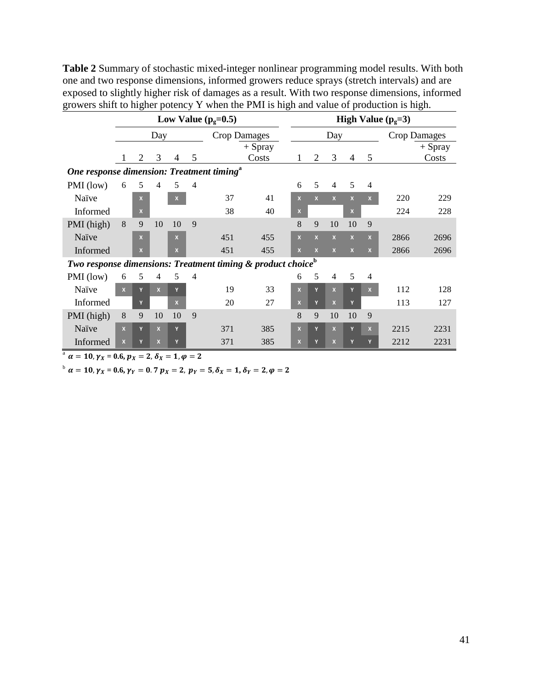**Table 2** Summary of stochastic mixed-integer nonlinear programming model results. With both one and two response dimensions, informed growers reduce sprays (stretch intervals) and are exposed to slightly higher risk of damages as a result. With two response dimensions, informed growers shift to higher potency Y when the PMI is high and value of production is high.

|                                                                         |                            | Low Value $(pg=0.5)$ |                |              |                |     | High Value $(p_e=3)$ |  |              |                         |                         |                         |                |      |           |
|-------------------------------------------------------------------------|----------------------------|----------------------|----------------|--------------|----------------|-----|----------------------|--|--------------|-------------------------|-------------------------|-------------------------|----------------|------|-----------|
|                                                                         | <b>Crop Damages</b><br>Day |                      |                |              |                |     | Day                  |  |              |                         |                         | <b>Crop Damages</b>     |                |      |           |
|                                                                         |                            |                      |                |              |                |     | $+$ Spray            |  |              |                         |                         |                         |                |      | $+$ Spray |
|                                                                         |                            | 2                    | 3              | 4            | 5              |     | Costs                |  | 1            | $\overline{2}$          | 3                       | $\overline{4}$          | 5              |      | Costs     |
| One response dimension: Treatment timing <sup>a</sup>                   |                            |                      |                |              |                |     |                      |  |              |                         |                         |                         |                |      |           |
| PMI (low)                                                               | 6                          | 5                    | $\overline{4}$ | 5            | $\overline{4}$ |     |                      |  | 6            | 5                       | $\overline{4}$          | 5                       | $\overline{4}$ |      |           |
| Naïve                                                                   |                            | $\mathbf{x}$         |                | $\mathbf{x}$ |                | 37  | 41                   |  | $\mathbf{x}$ | $\mathbf{x}$            | $\mathbf{x}$            | $\mathbf{x}$            | $\mathbf{x}$   | 220  | 229       |
| Informed                                                                |                            | $\mathbf{x}$         |                |              |                | 38  | 40                   |  | $\mathbf{X}$ |                         |                         | x                       |                | 224  | 228       |
| PMI (high)                                                              | 8                          | 9                    | 10             | 10           | 9              |     |                      |  | 8            | 9                       | 10                      | 10                      | 9              |      |           |
| Naïve                                                                   |                            | $\mathbf{x}$         |                | $\mathbf{x}$ |                | 451 | 455                  |  | $\mathbf{x}$ | $\overline{\mathbf{x}}$ | $\mathbf{x}$            | $\overline{\mathbf{x}}$ | $\mathbf{x}$   | 2866 | 2696      |
| Informed                                                                |                            | $\mathbf{x}$         |                | X            |                | 451 | 455                  |  |              | $\mathbf{x}$            | $\mathbf{x}$            | $\mathbf{x}$            | $\mathbf{x}$   | 2866 | 2696      |
| Two response dimensions: Treatment timing & product choice <sup>b</sup> |                            |                      |                |              |                |     |                      |  |              |                         |                         |                         |                |      |           |
| PMI (low)                                                               | 6                          | 5                    | 4              | 5            | $\overline{4}$ |     |                      |  | 6            | 5                       | 4                       | 5                       | $\overline{4}$ |      |           |
| Naïve                                                                   | $\mathbf{x}$               | Y                    | $\mathbf{x}$   | Y            |                | 19  | 33                   |  | $\mathbf{x}$ | Y                       | $\mathbf{x}$            | Y                       | $\mathbf{x}$   | 112  | 128       |
| Informed                                                                |                            |                      |                | $\mathbf{x}$ |                | 20  | 27                   |  | $\mathbf{x}$ | Y                       | $\overline{\mathbf{x}}$ | v                       |                | 113  | 127       |
| PMI (high)                                                              | 8                          | 9                    | 10             | 10           | 9              |     |                      |  | 8            | 9                       | 10                      | 10                      | 9              |      |           |
| Naïve                                                                   | $\mathbf{x}$               | Y                    | $\mathbf{x}$   | Y            |                | 371 | 385                  |  | $\mathbf{x}$ | Y                       | $\mathbf x$             | Y                       | $\mathbf{x}$   | 2215 | 2231      |
| Informed                                                                | $\mathbf{x}$               | Y                    | $\mathbf{x}$   | Y            |                | 371 | 385                  |  | $\mathbf{x}$ | Y                       | $\mathbf{x}$            |                         | Y              | 2212 | 2231      |

<sup>a</sup>  $\alpha = 10, \gamma_X = 0.6, p_X = 2, \delta_X = 1, \varphi = 2$ 

 $b \alpha = 10, \gamma_X = 0.6, \gamma_Y = 0.7 \gamma_X = 2, \gamma_Y = 5, \delta_X = 1, \delta_Y = 2, \varphi = 2$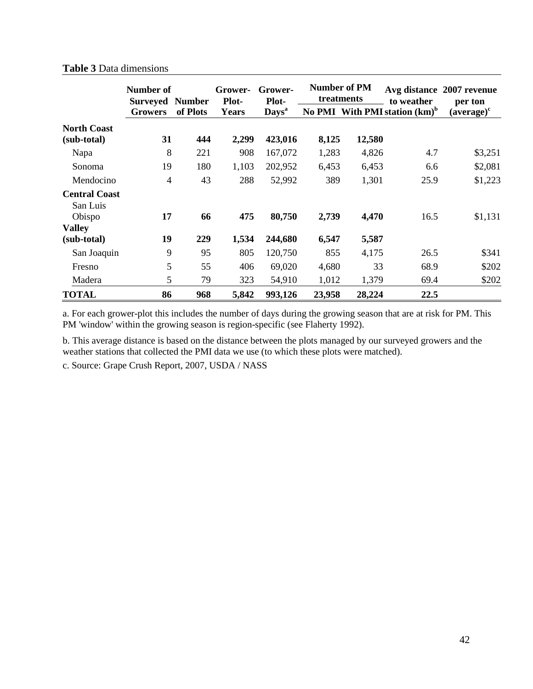|                      | <b>Number of</b>           |                           | Grower-               | Grower-                           |        | <b>Number of PM</b><br>treatments |                                                | Avg distance 2007 revenue |
|----------------------|----------------------------|---------------------------|-----------------------|-----------------------------------|--------|-----------------------------------|------------------------------------------------|---------------------------|
|                      | Surveyed<br><b>Growers</b> | <b>Number</b><br>of Plots | Plot-<br><b>Years</b> | <b>Plot-</b><br>Days <sup>a</sup> |        |                                   | to weather<br>No PMI With PMI station $(km)^b$ | per ton<br>$(average)^c$  |
| <b>North Coast</b>   |                            |                           |                       |                                   |        |                                   |                                                |                           |
| (sub-total)          | 31                         | 444                       | 2,299                 | 423,016                           | 8,125  | 12,580                            |                                                |                           |
| Napa                 | 8                          | 221                       | 908                   | 167,072                           | 1,283  | 4,826                             | 4.7                                            | \$3,251                   |
| Sonoma               | 19                         | 180                       | 1,103                 | 202,952                           | 6,453  | 6,453                             | 6.6                                            | \$2,081                   |
| Mendocino            | $\overline{4}$             | 43                        | 288                   | 52,992                            | 389    | 1,301                             | 25.9                                           | \$1,223                   |
| <b>Central Coast</b> |                            |                           |                       |                                   |        |                                   |                                                |                           |
| San Luis             |                            |                           |                       |                                   |        |                                   |                                                |                           |
| Obispo               | 17                         | 66                        | 475                   | 80,750                            | 2,739  | 4,470                             | 16.5                                           | \$1,131                   |
| <b>Valley</b>        |                            |                           |                       |                                   |        |                                   |                                                |                           |
| (sub-total)          | 19                         | 229                       | 1,534                 | 244,680                           | 6,547  | 5,587                             |                                                |                           |
| San Joaquin          | 9                          | 95                        | 805                   | 120,750                           | 855    | 4,175                             | 26.5                                           | \$341                     |
| Fresno               | 5                          | 55                        | 406                   | 69,020                            | 4,680  | 33                                | 68.9                                           | \$202                     |
| Madera               | 5                          | 79                        | 323                   | 54,910                            | 1,012  | 1,379                             | 69.4                                           | \$202                     |
| <b>TOTAL</b>         | 86                         | 968                       | 5,842                 | 993,126                           | 23,958 | 28,224                            | 22.5                                           |                           |

## **Table 3** Data dimensions

a. For each grower-plot this includes the number of days during the growing season that are at risk for PM. This PM 'window' within the growing season is region-specific (see Flaherty 1992).

b. This average distance is based on the distance between the plots managed by our surveyed growers and the weather stations that collected the PMI data we use (to which these plots were matched).

c. Source: Grape Crush Report, 2007, USDA / NASS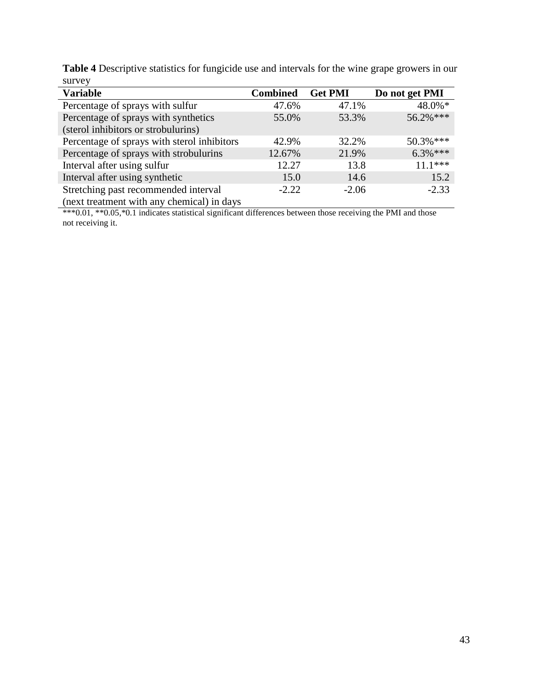| Table 4 Descriptive statistics for fungicide use and intervals for the wine grape growers in our |  |  |  |
|--------------------------------------------------------------------------------------------------|--|--|--|
| survey                                                                                           |  |  |  |
|                                                                                                  |  |  |  |

| <b>Variable</b>                             | <b>Combined</b> | <b>Get PMI</b> | Do not get PMI |
|---------------------------------------------|-----------------|----------------|----------------|
| Percentage of sprays with sulfur            | 47.6%           | 47.1%          | $48.0\%$ *     |
| Percentage of sprays with synthetics        | 55.0%           | 53.3%          | 56.2%***       |
| (sterol inhibitors or strobulurins)         |                 |                |                |
| Percentage of sprays with sterol inhibitors | 42.9%           | 32.2%          | 50.3%***       |
| Percentage of sprays with strobulurins      | 12.67%          | 21.9%          | $6.3\%***$     |
| Interval after using sulfur                 | 12.27           | 13.8           | $1***$         |
| Interval after using synthetic              | 15.0            | 14.6           | 15.2           |
| Stretching past recommended interval        | $-2.22$         | $-2.06$        | $-2.33$        |
| (next treatment with any chemical) in days  |                 |                |                |

\*\*\*0.01, \*\*0.05,\*0.1 indicates statistical significant differences between those receiving the PMI and those not receiving it.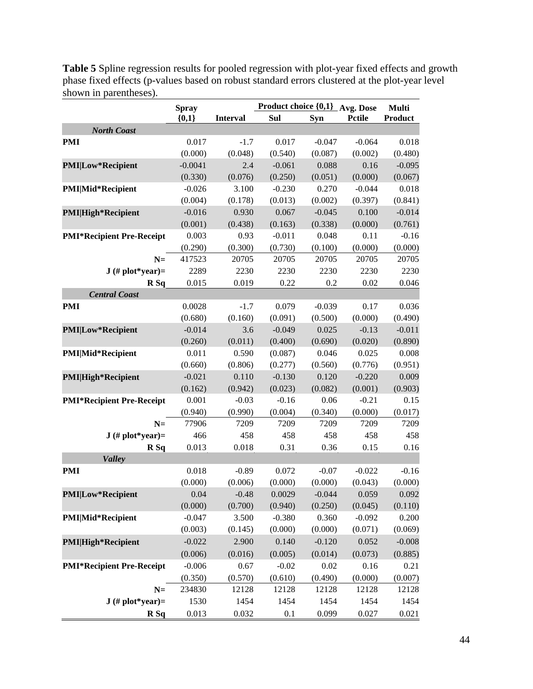**Spray {0,1} Product choice {0,1} Avg. Dose Pctile Multi Interval Sul Syn Product** *North Coast* **PMI** 0.017 -1.7 0.017 -0.047 -0.064 0.018  $(0.000)$   $(0.048)$   $(0.540)$   $(0.087)$   $(0.002)$   $(0.480)$ **PMI|Low\*Recipient** -0.0041 2.4 -0.061 0.088 0.16 -0.095  $(0.330)$   $(0.076)$   $(0.250)$   $(0.051)$   $(0.000)$   $(0.067)$ **PMI|Mid\*Recipient** -0.026 3.100 -0.230 0.270 -0.044 0.018 (0.004) (0.178) (0.013) (0.002) (0.397) (0.841) **PMI|High\*Recipient** -0.016 0.930 0.067 -0.045 0.100 -0.014 (0.001) (0.438) (0.163) (0.338) (0.000) (0.761) **PMI\*Recipient Pre-Receipt** 0.003 0.93 -0.011 0.048 0.11 -0.16  $(0.290)$   $(0.300)$   $(0.730)$   $(0.100)$   $(0.000)$   $(0.000)$ **N=** 417523 20705 20705 20705 20705 20705 **J (# plot\*year)=** 2289 2230 2230 2230 2230 2230 **R Sq** 0.015 0.019 0.22 0.2 0.02 0.046 *Central Coast* **PMI** 0.0028 -1.7 0.079 -0.039 0.17 0.036  $(0.680)$   $(0.160)$   $(0.091)$   $(0.500)$   $(0.000)$   $(0.490)$ **PMI|Low\*Recipient** -0.014 3.6 -0.049 0.025 -0.13 -0.011  $(0.260)$   $(0.011)$   $(0.400)$   $(0.690)$   $(0.020)$   $(0.890)$ **PMI|Mid\*Recipient** 0.011 0.590 (0.087) 0.046 0.025 0.008 (0.660) (0.806) (0.277) (0.560) (0.776) (0.951) **PMI|High\*Recipient** -0.021 0.110 -0.130 0.120 -0.220 0.009 (0.162) (0.942) (0.023) (0.082) (0.001) (0.903) **PMI\*Recipient Pre-Receipt** 0.001 -0.03 -0.16 0.06 -0.21 0.15  $(0.940)$   $(0.990)$   $(0.004)$   $(0.340)$   $(0.000)$   $(0.017)$ **N=** 77906 7209 7209 7209 7209 7209 **J** (# plot\*year)= 466 458 458 458 458 458 **R Sq** 0.013 0.018 0.31 0.36 0.15 0.16 *Valley* **PMI** 0.018 -0.89 0.072 -0.07 -0.022 -0.16  $(0.000)$   $(0.006)$   $(0.000)$   $(0.000)$   $(0.043)$   $(0.000)$ **PMI|Low\*Recipient** 0.04 -0.48 0.0029 -0.044 0.059 0.092 (0.000) (0.700) (0.940) (0.250) (0.045) (0.110) **PMI|Mid\*Recipient** -0.047 3.500 -0.380 0.360 -0.092 0.200  $(0.003)$   $(0.145)$   $(0.000)$   $(0.000)$   $(0.071)$   $(0.069)$ **PMI|High\*Recipient** -0.022 2.900 0.140 -0.120 0.052 -0.008  $(0.006)$   $(0.016)$   $(0.005)$   $(0.014)$   $(0.073)$   $(0.885)$ **PMI\*Recipient Pre-Receipt**  $-0.006$  0.67  $-0.02$  0.02 0.16 0.21 (0.350) (0.570) (0.610) (0.490) (0.000) (0.007) **N=** 234830 12128 12128 12128 12128 12128 **J (# plot\*year)=** 1530 1454 1454 1454 1454 1454 **R Sq** 0.013 0.032 0.1 0.099 0.027 0.021

**Table 5** Spline regression results for pooled regression with plot-year fixed effects and growth phase fixed effects (p-values based on robust standard errors clustered at the plot-year level shown in parentheses).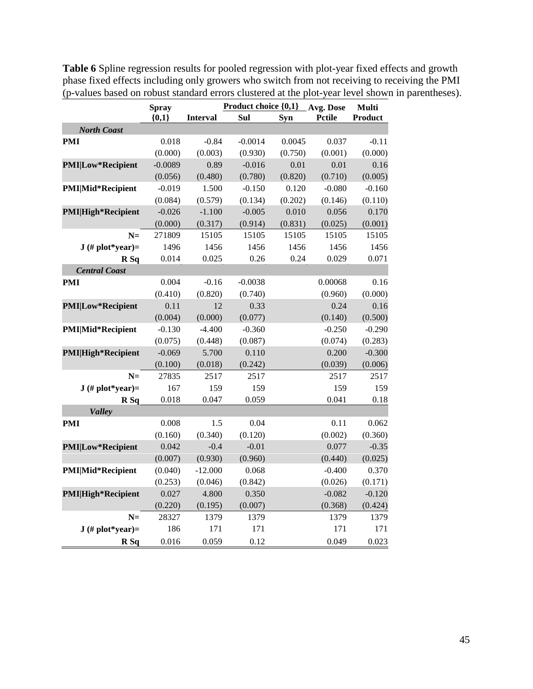|                            | <b>Spray</b> |                 | Product choice {0,1} Avg. Dose |         |               | <b>Multi</b> |
|----------------------------|--------------|-----------------|--------------------------------|---------|---------------|--------------|
|                            | ${0,1}$      | <b>Interval</b> | Sul                            | Syn     | <b>Pctile</b> | Product      |
| <b>North Coast</b>         |              |                 |                                |         |               |              |
| <b>PMI</b>                 | 0.018        | $-0.84$         | $-0.0014$                      | 0.0045  | 0.037         | $-0.11$      |
|                            | (0.000)      | (0.003)         | (0.930)                        | (0.750) | (0.001)       | (0.000)      |
| <b>PMI Low*Recipient</b>   | $-0.0089$    | 0.89            | $-0.016$                       | 0.01    | 0.01          | 0.16         |
|                            | (0.056)      | (0.480)         | (0.780)                        | (0.820) | (0.710)       | (0.005)      |
| <b>PMI</b>  Mid*Recipient  | $-0.019$     | 1.500           | $-0.150$                       | 0.120   | $-0.080$      | $-0.160$     |
|                            | (0.084)      | (0.579)         | (0.134)                        | (0.202) | (0.146)       | (0.110)      |
| <b>PMI</b>  High*Recipient | $-0.026$     | $-1.100$        | $-0.005$                       | 0.010   | 0.056         | 0.170        |
|                            | (0.000)      | (0.317)         | (0.914)                        | (0.831) | (0.025)       | (0.001)      |
| $N=$                       | 271809       | 15105           | 15105                          | 15105   | 15105         | 15105        |
| $J$ (# plot*year)=         | 1496         | 1456            | 1456                           | 1456    | 1456          | 1456         |
| R Sq                       | 0.014        | 0.025           | 0.26                           | 0.24    | 0.029         | 0.071        |
| <b>Central Coast</b>       |              |                 |                                |         |               |              |
| <b>PMI</b>                 | 0.004        | $-0.16$         | $-0.0038$                      |         | 0.00068       | 0.16         |
|                            | (0.410)      | (0.820)         | (0.740)                        |         | (0.960)       | (0.000)      |
| <b>PMI Low*Recipient</b>   | 0.11         | 12              | 0.33                           |         | 0.24          | 0.16         |
|                            | (0.004)      | (0.000)         | (0.077)                        |         | (0.140)       | (0.500)      |
| <b>PMI</b>  Mid*Recipient  | $-0.130$     | $-4.400$        | $-0.360$                       |         | $-0.250$      | $-0.290$     |
|                            | (0.075)      | (0.448)         | (0.087)                        |         | (0.074)       | (0.283)      |
| <b>PMI</b>  High*Recipient | $-0.069$     | 5.700           | 0.110                          |         | 0.200         | $-0.300$     |
|                            | (0.100)      | (0.018)         | (0.242)                        |         | (0.039)       | (0.006)      |
| $N=$                       | 27835        | 2517            | 2517                           |         | 2517          | 2517         |
| $J$ (# plot*year)=         | 167          | 159             | 159                            |         | 159           | 159          |
| R Sq                       | 0.018        | 0.047           | 0.059                          |         | 0.041         | 0.18         |
| <b>Valley</b>              |              |                 |                                |         |               |              |
| <b>PMI</b>                 | 0.008        | 1.5             | 0.04                           |         | 0.11          | 0.062        |
|                            | (0.160)      | (0.340)         | (0.120)                        |         | (0.002)       | (0.360)      |
| <b>PMI Low*Recipient</b>   | 0.042        | $-0.4$          | $-0.01$                        |         | 0.077         | $-0.35$      |
|                            | (0.007)      | (0.930)         | (0.960)                        |         | (0.440)       | (0.025)      |
| <b>PMI</b>  Mid*Recipient  | (0.040)      | $-12.000$       | 0.068                          |         | $-0.400$      | 0.370        |
|                            | (0.253)      | (0.046)         | (0.842)                        |         | (0.026)       | (0.171)      |
| <b>PMI</b>  High*Recipient | 0.027        | 4.800           | 0.350                          |         | $-0.082$      | $-0.120$     |
|                            | (0.220)      | (0.195)         | (0.007)                        |         | (0.368)       | (0.424)      |
| $N=$                       | 28327        | 1379            | 1379                           |         | 1379          | 1379         |
| $J$ (# plot*year)=         | 186          | 171             | 171                            |         | 171           | 171          |
| R <sub>Sq</sub>            | 0.016        | 0.059           | 0.12                           |         | 0.049         | 0.023        |

**Table 6** Spline regression results for pooled regression with plot-year fixed effects and growth phase fixed effects including only growers who switch from not receiving to receiving the PMI (p-values based on robust standard errors clustered at the plot-year level shown in parentheses).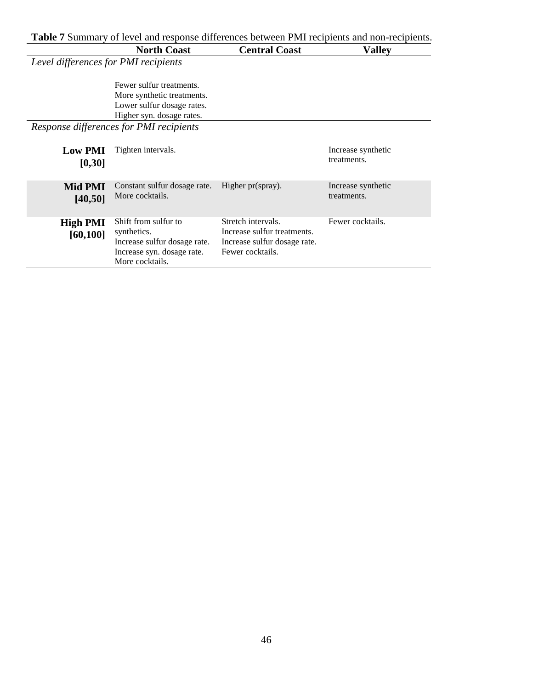**Table 7** Summary of level and response differences between PMI recipients and non-recipients.

|                                      | <b>North Coast</b>                                                                                                   | <b>Central Coast</b>                                                                                  | Valley                            |
|--------------------------------------|----------------------------------------------------------------------------------------------------------------------|-------------------------------------------------------------------------------------------------------|-----------------------------------|
| Level differences for PMI recipients |                                                                                                                      |                                                                                                       |                                   |
|                                      | Fewer sulfur treatments.<br>More synthetic treatments.<br>Lower sulfur dosage rates.<br>Higher syn. dosage rates.    |                                                                                                       |                                   |
|                                      | Response differences for PMI recipients                                                                              |                                                                                                       |                                   |
| <b>Low PMI</b><br>[0,30]             | Tighten intervals.                                                                                                   |                                                                                                       | Increase synthetic<br>treatments. |
| Mid PMI<br>[40, 50]                  | Constant sulfur dosage rate.<br>More cocktails.                                                                      | Higher pr(spray).                                                                                     | Increase synthetic<br>treatments. |
| <b>High PMI</b><br>[60, 100]         | Shift from sulfur to<br>synthetics.<br>Increase sulfur dosage rate.<br>Increase syn. dosage rate.<br>More cocktails. | Stretch intervals.<br>Increase sulfur treatments.<br>Increase sulfur dosage rate.<br>Fewer cocktails. | Fewer cocktails.                  |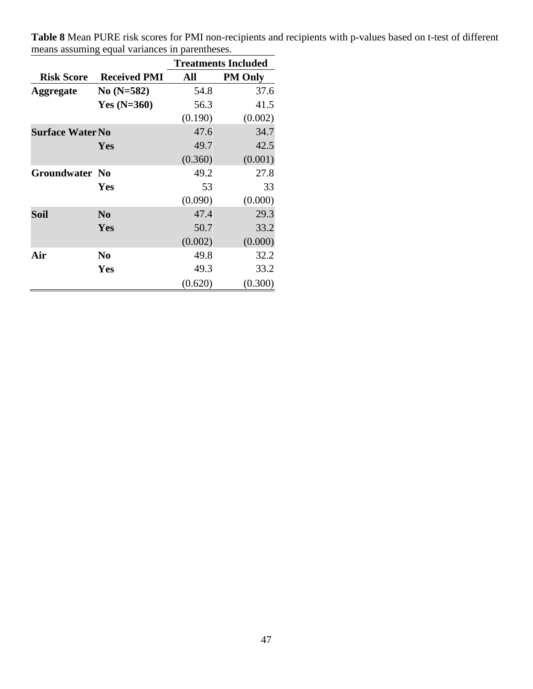|                         |                     | <b>Treatments Included</b> |                |  |  |
|-------------------------|---------------------|----------------------------|----------------|--|--|
| <b>Risk Score</b>       | <b>Received PMI</b> | All                        | <b>PM Only</b> |  |  |
| <b>Aggregate</b>        | No $(N=582)$        | 54.8                       | 37.6           |  |  |
|                         | Yes $(N=360)$       | 56.3                       | 41.5           |  |  |
|                         |                     | (0.190)                    | (0.002)        |  |  |
| <b>Surface Water No</b> |                     | 47.6                       | 34.7           |  |  |
|                         | Yes                 | 49.7                       | 42.5           |  |  |
|                         |                     | (0.360)                    | (0.001)        |  |  |
| <b>Groundwater No</b>   |                     | 49.2                       | 27.8           |  |  |
|                         | <b>Yes</b>          | 53                         | 33             |  |  |
|                         |                     | (0.090)                    | (0.000)        |  |  |
| <b>Soil</b>             | N <sub>0</sub>      | 47.4                       | 29.3           |  |  |
|                         | Yes                 | 50.7                       | 33.2           |  |  |
|                         |                     | (0.002)                    | (0.000)        |  |  |
| Air                     | N <sub>0</sub>      | 49.8                       | 32.2           |  |  |
|                         | Yes                 | 49.3                       | 33.2           |  |  |
|                         |                     | (0.620)                    | (0.300)        |  |  |

**Table 8** Mean PURE risk scores for PMI non-recipients and recipients with p-values based on t-test of different means assuming equal variances in parentheses.